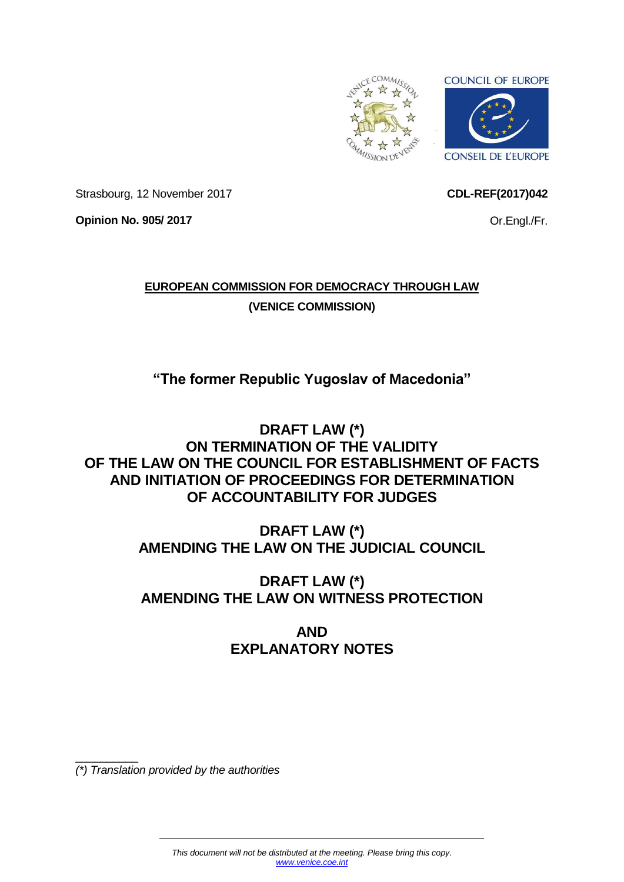

<span id="page-0-0"></span>**CDL-REF(2017)042**

Or.Engl./Fr.

Strasbourg, 12 November 2017

**Opinion No. 905/ 2017**

**EUROPEAN COMMISSION FOR DEMOCRACY THROUGH LAW (VENICE COMMISSION)**

**"The former Republic Yugoslav of Macedonia"**

**DRAFT LAW (\*) ON TERMINATION OF THE VALIDITY OF THE LAW ON THE COUNCIL FOR ESTABLISHMENT OF FACTS AND INITIATION OF PROCEEDINGS FOR DETERMINATION OF ACCOUNTABILITY FOR JUDGES**

> **DRAFT LAW (\*) AMENDING THE LAW ON THE JUDICIAL COUNCIL**

> **DRAFT LAW (\*) AMENDING THE LAW ON WITNESS PROTECTION**

> > **AND EXPLANATORY NOTES**

 $\overline{\phantom{a}}$  , where  $\overline{\phantom{a}}$ *(\*) Translation provided by the authorities*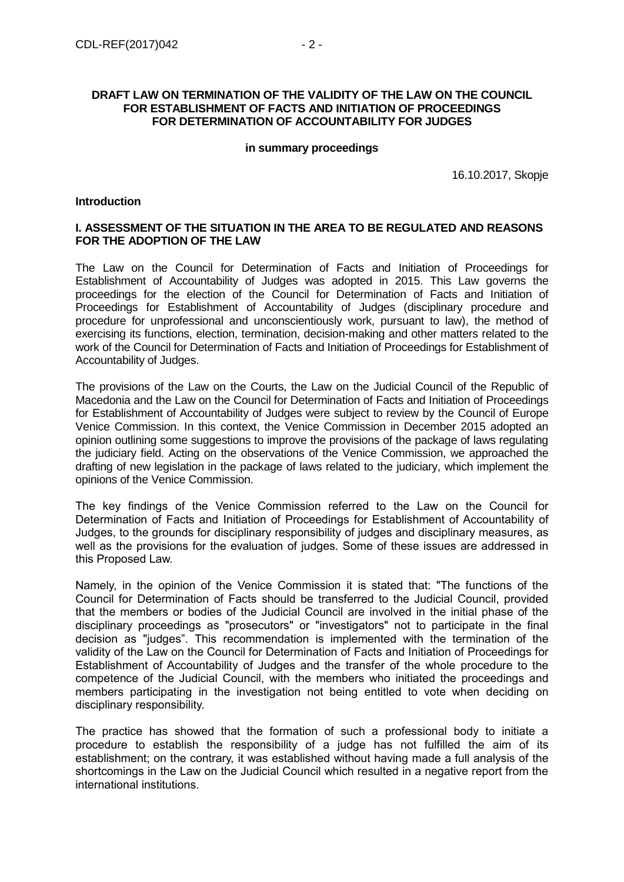## **DRAFT LAW ON TERMINATION OF THE VALIDITY OF THE LAW ON THE COUNCIL FOR ESTABLISHMENT OF FACTS AND INITIATION OF PROCEEDINGS FOR DETERMINATION OF ACCOUNTABILITY FOR JUDGES**

#### **in summary proceedings**

16.10.2017, Skopje

## **Introduction**

## **I. ASSESSMENT OF THE SITUATION IN THE AREA TO BE REGULATED AND REASONS FOR THE ADOPTION OF THE LAW**

The Law on the Council for Determination of Facts and Initiation of Proceedings for Establishment of Accountability of Judges was adopted in 2015. This Law governs the proceedings for the election of the Council for Determination of Facts and Initiation of Proceedings for Establishment of Accountability of Judges (disciplinary procedure and procedure for unprofessional and unconscientiously work, pursuant to law), the method of exercising its functions, election, termination, decision-making and other matters related to the work of the Council for Determination of Facts and Initiation of Proceedings for Establishment of Accountability of Judges.

The provisions of the Law on the Courts, the Law on the Judicial Council of the Republic of Macedonia and the Law on the Council for Determination of Facts and Initiation of Proceedings for Establishment of Accountability of Judges were subject to review by the Council of Europe Venice Commission. In this context, the Venice Commission in December 2015 adopted an opinion outlining some suggestions to improve the provisions of the package of laws regulating the judiciary field. Acting on the observations of the Venice Commission, we approached the drafting of new legislation in the package of laws related to the judiciary, which implement the opinions of the Venice Commission.

The key findings of the Venice Commission referred to the Law on the Council for Determination of Facts and Initiation of Proceedings for Establishment of Accountability of Judges, to the grounds for disciplinary responsibility of judges and disciplinary measures, as well as the provisions for the evaluation of judges. Some of these issues are addressed in this Proposed Law.

Namely, in the opinion of the Venice Commission it is stated that: "The functions of the Council for Determination of Facts should be transferred to the Judicial Council, provided that the members or bodies of the Judicial Council are involved in the initial phase of the disciplinary proceedings as "prosecutors" or "investigators" not to participate in the final decision as "judges". This recommendation is implemented with the termination of the validity of the Law on the Council for Determination of Facts and Initiation of Proceedings for Establishment of Accountability of Judges and the transfer of the whole procedure to the competence of the Judicial Council, with the members who initiated the proceedings and members participating in the investigation not being entitled to vote when deciding on disciplinary responsibility.

The practice has showed that the formation of such a professional body to initiate a procedure to establish the responsibility of a judge has not fulfilled the aim of its establishment; on the contrary, it was established without having made a full analysis of the shortcomings in the Law on the Judicial Council which resulted in a negative report from the international institutions.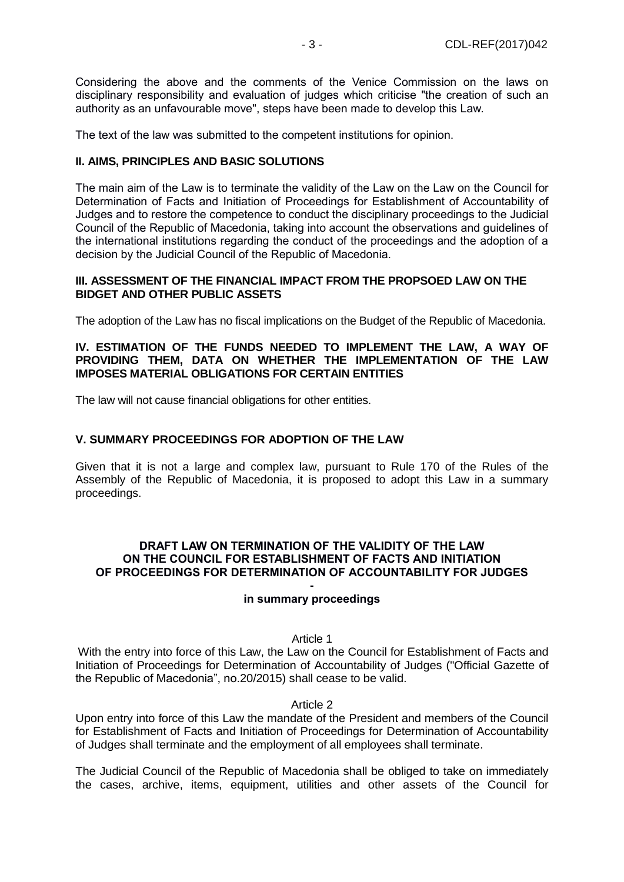Considering the above and the comments of the Venice Commission on the laws on disciplinary responsibility and evaluation of judges which criticise "the creation of such an authority as an unfavourable move", steps have been made to develop this Law.

The text of the law was submitted to the competent institutions for opinion.

# **II. AIMS, PRINCIPLES AND BASIC SOLUTIONS**

The main aim of the Law is to terminate the validity of the Law on the Law on the Council for Determination of Facts and Initiation of Proceedings for Establishment of Accountability of Judges and to restore the competence to conduct the disciplinary proceedings to the Judicial Council of the Republic of Macedonia, taking into account the observations and guidelines of the international institutions regarding the conduct of the proceedings and the adoption of a decision by the Judicial Council of the Republic of Macedonia.

## **III. ASSESSMENT OF THE FINANCIAL IMPACT FROM THE PROPSOED LAW ON THE BIDGET AND OTHER PUBLIC ASSETS**

The adoption of the Law has no fiscal implications on the Budget of the Republic of Macedonia.

## **IV. ESTIMATION OF THE FUNDS NEEDED TO IMPLEMENT THE LAW, A WAY OF PROVIDING THEM, DATA ON WHETHER THE IMPLEMENTATION OF THE LAW IMPOSES MATERIAL OBLIGATIONS FOR CERTAIN ENTITIES**

The law will not cause financial obligations for other entities.

# **V. SUMMARY PROCEEDINGS FOR ADOPTION OF THE LAW**

Given that it is not a large and complex law, pursuant to Rule 170 of the Rules of the Assembly of the Republic of Macedonia, it is proposed to adopt this Law in a summary proceedings.

# **DRAFT LAW ON TERMINATION OF THE VALIDITY OF THE LAW ON THE COUNCIL FOR ESTABLISHMENT OF FACTS AND INITIATION OF PROCEEDINGS FOR DETERMINATION OF ACCOUNTABILITY FOR JUDGES**

#### **in summary proceedings**

Article 1

With the entry into force of this Law, the Law on the Council for Establishment of Facts and Initiation of Proceedings for Determination of Accountability of Judges ("Official Gazette of the Republic of Macedonia", no.20/2015) shall cease to be valid.

## Article 2

Upon entry into force of this Law the mandate of the President and members of the Council for Establishment of Facts and Initiation of Proceedings for Determination of Accountability of Judges shall terminate and the employment of all employees shall terminate.

The Judicial Council of the Republic of Macedonia shall be obliged to take on immediately the cases, archive, items, equipment, utilities and other assets of the Council for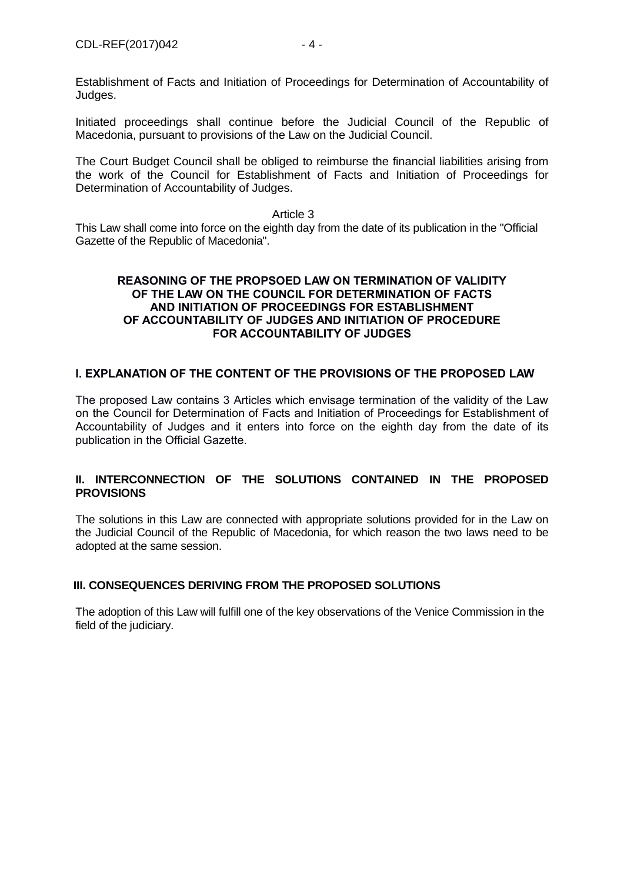Initiated proceedings shall continue before the Judicial Council of the Republic of Macedonia, pursuant to provisions of the Law on the Judicial Council.

The Court Budget Council shall be obliged to reimburse the financial liabilities arising from the work of the Council for Establishment of Facts and Initiation of Proceedings for Determination of Accountability of Judges.

#### Article 3

This Law shall come into force on the eighth day from the date of its publication in the "Official Gazette of the Republic of Macedonia".

## **REASONING OF THE PROPSOED LAW ON TERMINATION OF VALIDITY OF THE LAW ON THE COUNCIL FOR DETERMINATION OF FACTS AND INITIATION OF PROCEEDINGS FOR ESTABLISHMENT OF ACCOUNTABILITY OF JUDGES AND INITIATION OF PROCEDURE FOR ACCOUNTABILITY OF JUDGES**

# **I. EXPLANATION OF THE CONTENT OF THE PROVISIONS OF THE PROPOSED LAW**

The proposed Law contains 3 Articles which envisage termination of the validity of the Law on the Council for Determination of Facts and Initiation of Proceedings for Establishment of Accountability of Judges and it enters into force on the eighth day from the date of its publication in the Official Gazette.

# **II. INTERCONNECTION OF THE SOLUTIONS CONTAINED IN THE PROPOSED PROVISIONS**

The solutions in this Law are connected with appropriate solutions provided for in the Law on the Judicial Council of the Republic of Macedonia, for which reason the two laws need to be adopted at the same session.

# **III. CONSEQUENCES DERIVING FROM THE PROPOSED SOLUTIONS**

The adoption of this Law will fulfill one of the key observations of the Venice Commission in the field of the judiciary.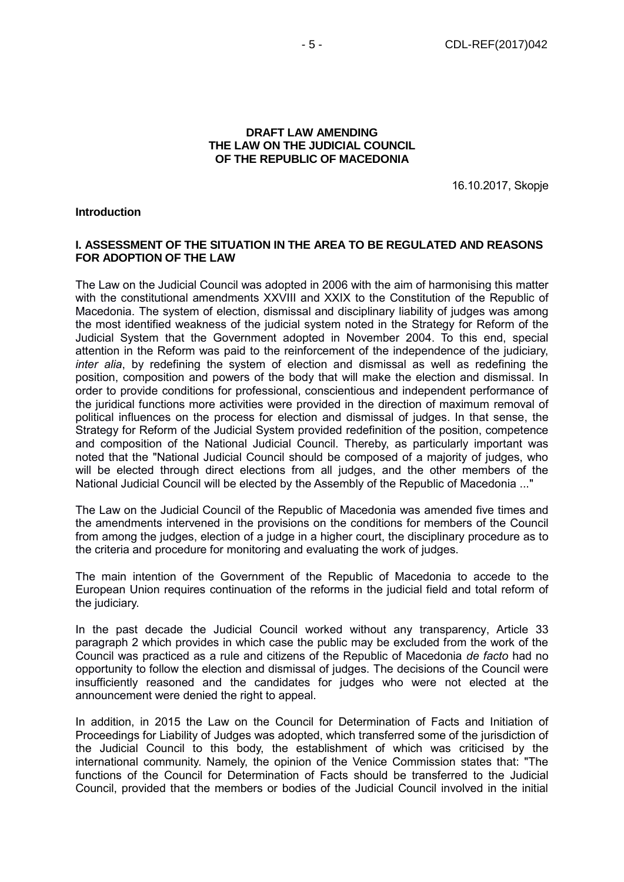#### **DRAFT LAW AMENDING THE LAW ON THE JUDICIAL COUNCIL OF THE REPUBLIC OF MACEDONIA**

16.10.2017, Skopje

#### **Introduction**

## **I. ASSESSMENT OF THE SITUATION IN THE AREA TO BE REGULATED AND REASONS FOR ADOPTION OF THE LAW**

The Law on the Judicial Council was adopted in 2006 with the aim of harmonising this matter with the constitutional amendments XXVIII and XXIX to the Constitution of the Republic of Macedonia. The system of election, dismissal and disciplinary liability of judges was among the most identified weakness of the judicial system noted in the Strategy for Reform of the Judicial System that the Government adopted in November 2004. To this end, special attention in the Reform was paid to the reinforcement of the independence of the judiciary, *inter alia*, by redefining the system of election and dismissal as well as redefining the position, composition and powers of the body that will make the election and dismissal. In order to provide conditions for professional, conscientious and independent performance of the juridical functions more activities were provided in the direction of maximum removal of political influences on the process for election and dismissal of judges. In that sense, the Strategy for Reform of the Judicial System provided redefinition of the position, competence and composition of the National Judicial Council. Thereby, as particularly important was noted that the "National Judicial Council should be composed of a majority of judges, who will be elected through direct elections from all judges, and the other members of the National Judicial Council will be elected by the Assembly of the Republic of Macedonia ..."

The Law on the Judicial Council of the Republic of Macedonia was amended five times and the amendments intervened in the provisions on the conditions for members of the Council from among the judges, election of a judge in a higher court, the disciplinary procedure as to the criteria and procedure for monitoring and evaluating the work of judges.

The main intention of the Government of the Republic of Macedonia to accede to the European Union requires continuation of the reforms in the judicial field and total reform of the judiciary.

In the past decade the Judicial Council worked without any transparency, Article 33 paragraph 2 which provides in which case the public may be excluded from the work of the Council was practiced as a rule and citizens of the Republic of Macedonia *de facto* had no opportunity to follow the election and dismissal of judges. The decisions of the Council were insufficiently reasoned and the candidates for judges who were not elected at the announcement were denied the right to appeal.

In addition, in 2015 the Law on the Council for Determination of Facts and Initiation of Proceedings for Liability of Judges was adopted, which transferred some of the jurisdiction of the Judicial Council to this body, the establishment of which was criticised by the international community. Namely, the opinion of the Venice Commission states that: "The functions of the Council for Determination of Facts should be transferred to the Judicial Council, provided that the members or bodies of the Judicial Council involved in the initial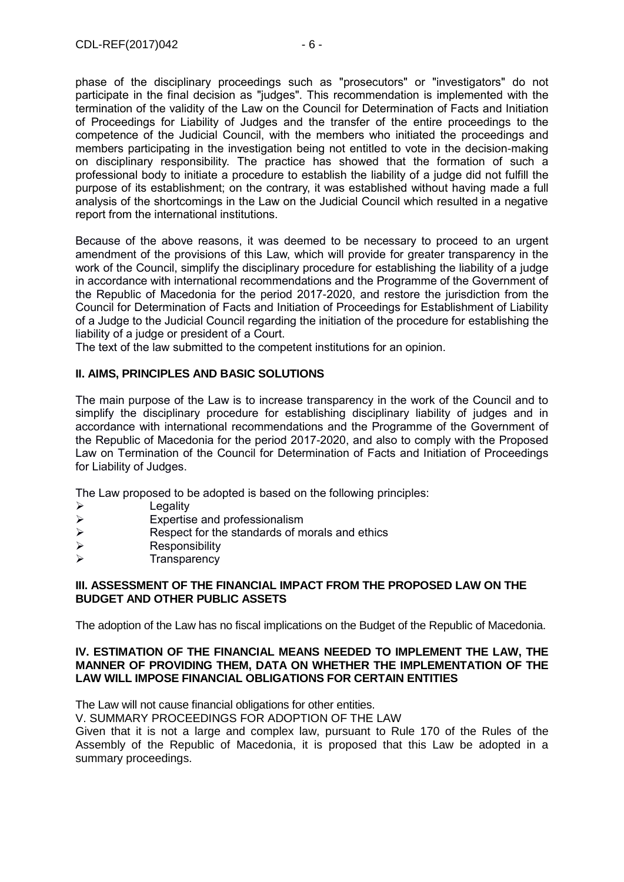phase of the disciplinary proceedings such as "prosecutors" or "investigators" do not participate in the final decision as "judges". This recommendation is implemented with the termination of the validity of the Law on the Council for Determination of Facts and Initiation of Proceedings for Liability of Judges and the transfer of the entire proceedings to the competence of the Judicial Council, with the members who initiated the proceedings and members participating in the investigation being not entitled to vote in the decision-making on disciplinary responsibility. The practice has showed that the formation of such a professional body to initiate a procedure to establish the liability of a judge did not fulfill the purpose of its establishment; on the contrary, it was established without having made a full analysis of the shortcomings in the Law on the Judicial Council which resulted in a negative report from the international institutions.

Because of the above reasons, it was deemed to be necessary to proceed to an urgent amendment of the provisions of this Law, which will provide for greater transparency in the work of the Council, simplify the disciplinary procedure for establishing the liability of a judge in accordance with international recommendations and the Programme of the Government of the Republic of Macedonia for the period 2017-2020, and restore the jurisdiction from the Council for Determination of Facts and Initiation of Proceedings for Establishment of Liability of a Judge to the Judicial Council regarding the initiation of the procedure for establishing the liability of a judge or president of a Court.

The text of the law submitted to the competent institutions for an opinion.

# **II. AIMS, PRINCIPLES AND BASIC SOLUTIONS**

The main purpose of the Law is to increase transparency in the work of the Council and to simplify the disciplinary procedure for establishing disciplinary liability of judges and in accordance with international recommendations and the Programme of the Government of the Republic of Macedonia for the period 2017-2020, and also to comply with the Proposed Law on Termination of the Council for Determination of Facts and Initiation of Proceedings for Liability of Judges.

The Law proposed to be adopted is based on the following principles:

- $\triangleright$  Legality
- $\triangleright$  Expertise and professionalism<br> $\triangleright$  Respect for the standards of m
- Respect for the standards of morals and ethics
- $\triangleright$  Responsibility
- $\triangleright$  Transparency

## **III. ASSESSMENT OF THE FINANCIAL IMPACT FROM THE PROPOSED LAW ON THE BUDGET AND OTHER PUBLIC ASSETS**

The adoption of the Law has no fiscal implications on the Budget of the Republic of Macedonia.

## **IV. ESTIMATION OF THE FINANCIAL MEANS NEEDED TO IMPLEMENT THE LAW, THE MANNER OF PROVIDING THEM, DATA ON WHETHER THE IMPLEMENTATION OF THE LAW WILL IMPOSE FINANCIAL OBLIGATIONS FOR CERTAIN ENTITIES**

The Law will not cause financial obligations for other entities.

V. SUMMARY PROCEEDINGS FOR ADOPTION OF THE LAW

Given that it is not a large and complex law, pursuant to Rule 170 of the Rules of the Assembly of the Republic of Macedonia, it is proposed that this Law be adopted in a summary proceedings.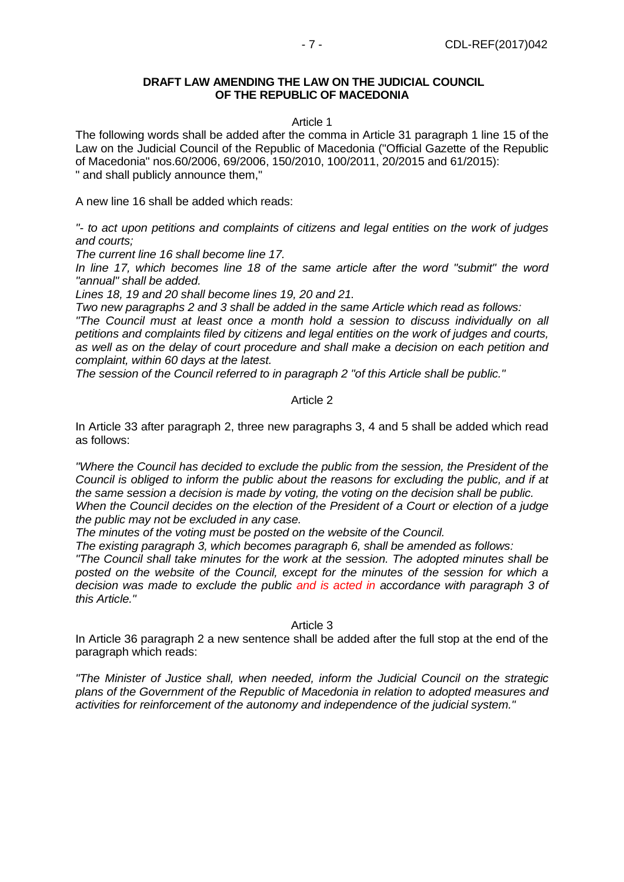## **DRAFT LAW AMENDING THE LAW ON THE JUDICIAL COUNCIL OF THE REPUBLIC OF MACEDONIA**

## Article 1

The following words shall be added after the comma in Article 31 paragraph 1 line 15 of the Law on the Judicial Council of the Republic of Macedonia ("Official Gazette of the Republic of Macedonia" nos.60/2006, 69/2006, 150/2010, 100/2011, 20/2015 and 61/2015): " and shall publicly announce them,"

A new line 16 shall be added which reads:

*"- to act upon petitions and complaints of citizens and legal entities on the work of judges and courts;*

*The current line 16 shall become line 17.*

*In line 17, which becomes line 18 of the same article after the word "submit" the word "annual" shall be added.*

*Lines 18, 19 and 20 shall become lines 19, 20 and 21.*

*Two new paragraphs 2 and 3 shall be added in the same Article which read as follows:*

*"The Council must at least once a month hold a session to discuss individually on all petitions and complaints filed by citizens and legal entities on the work of judges and courts, as well as on the delay of court procedure and shall make a decision on each petition and complaint, within 60 days at the latest.*

*The session of the Council referred to in paragraph 2 "of this Article shall be public."*

## Article 2

In Article 33 after paragraph 2, three new paragraphs 3, 4 and 5 shall be added which read as follows:

*"Where the Council has decided to exclude the public from the session, the President of the Council is obliged to inform the public about the reasons for excluding the public, and if at the same session a decision is made by voting, the voting on the decision shall be public. When the Council decides on the election of the President of a Court or election of a judge the public may not be excluded in any case.*

*The minutes of the voting must be posted on the website of the Council.*

*The existing paragraph 3, which becomes paragraph 6, shall be amended as follows:*

*"The Council shall take minutes for the work at the session. The adopted minutes shall be posted on the website of the Council, except for the minutes of the session for which a decision was made to exclude the public and is acted in accordance with paragraph 3 of this Article."*

## Article 3

In Article 36 paragraph 2 a new sentence shall be added after the full stop at the end of the paragraph which reads:

*"The Minister of Justice shall, when needed, inform the Judicial Council on the strategic plans of the Government of the Republic of Macedonia in relation to adopted measures and activities for reinforcement of the autonomy and independence of the judicial system."*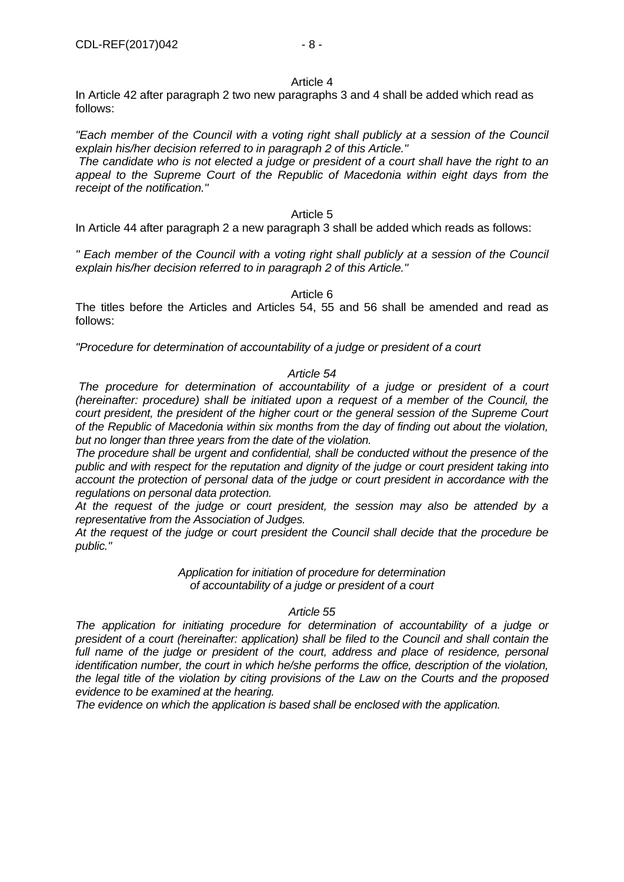## Article 4

In Article 42 after paragraph 2 two new paragraphs 3 and 4 shall be added which read as follows:

*"Each member of the Council with a voting right shall publicly at a session of the Council explain his/her decision referred to in paragraph 2 of this Article."*

*The candidate who is not elected a judge or president of a court shall have the right to an appeal to the Supreme Court of the Republic of Macedonia within eight days from the receipt of the notification."*

#### Article 5

In Article 44 after paragraph 2 a new paragraph 3 shall be added which reads as follows:

*" Each member of the Council with a voting right shall publicly at a session of the Council explain his/her decision referred to in paragraph 2 of this Article."*

## Article 6

The titles before the Articles and Articles 54, 55 and 56 shall be amended and read as follows:

*"Procedure for determination of accountability of a judge or president of a court*

## *Article 54*

*The procedure for determination of accountability of a judge or president of a court (hereinafter: procedure) shall be initiated upon a request of a member of the Council, the court president, the president of the higher court or the general session of the Supreme Court of the Republic of Macedonia within six months from the day of finding out about the violation, but no longer than three years from the date of the violation.*

*The procedure shall be urgent and confidential, shall be conducted without the presence of the public and with respect for the reputation and dignity of the judge or court president taking into account the protection of personal data of the judge or court president in accordance with the regulations on personal data protection.*

*At the request of the judge or court president, the session may also be attended by a representative from the Association of Judges.*

*At the request of the judge or court president the Council shall decide that the procedure be public."*

> *Application for initiation of procedure for determination of accountability of a judge or president of a court*

## *Article 55*

*The application for initiating procedure for determination of accountability of a judge or president of a court (hereinafter: application) shall be filed to the Council and shall contain the*  full name of the judge or president of the court, address and place of residence, personal *identification number, the court in which he/she performs the office, description of the violation, the legal title of the violation by citing provisions of the Law on the Courts and the proposed evidence to be examined at the hearing.*

*The evidence on which the application is based shall be enclosed with the application.*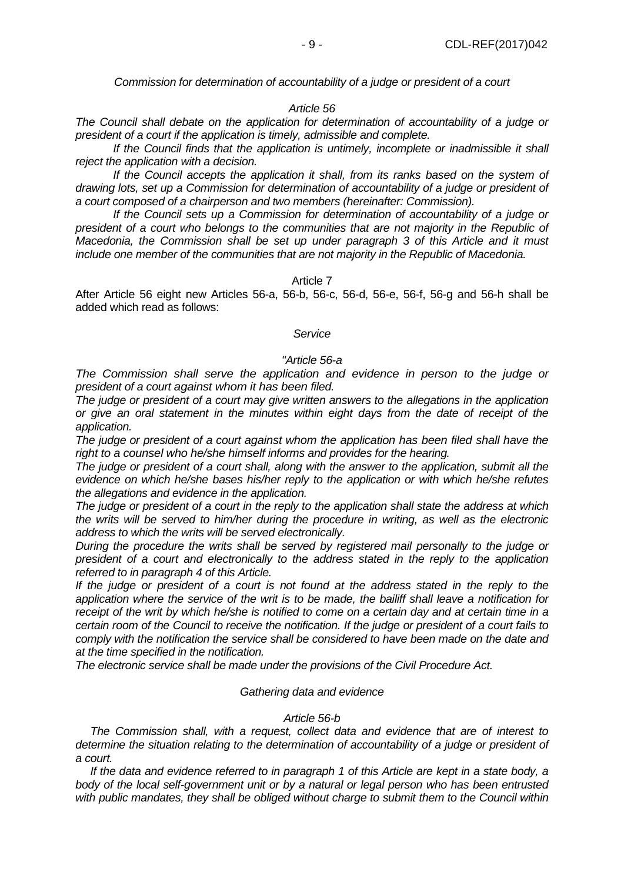*Commission for determination of accountability of a judge or president of a court*

#### *Article 56*

*The Council shall debate on the application for determination of accountability of a judge or president of a court if the application is timely, admissible and complete.* 

*If the Council finds that the application is untimely, incomplete or inadmissible it shall reject the application with a decision.*

*If the Council accepts the application it shall, from its ranks based on the system of drawing lots, set up a Commission for determination of accountability of a judge or president of a court composed of a chairperson and two members (hereinafter: Commission).* 

*If the Council sets up a Commission for determination of accountability of a judge or president of a court who belongs to the communities that are not majority in the Republic of Macedonia, the Commission shall be set up under paragraph 3 of this Article and it must include one member of the communities that are not majority in the Republic of Macedonia.* 

#### Article 7

After Article 56 eight new Articles 56-a, 56-b, 56-c, 56-d, 56-e, 56-f, 56-g and 56-h shall be added which read as follows:

#### *Service*

#### *"Article 56-a*

*The Commission shall serve the application and evidence in person to the judge or president of a court against whom it has been filed.* 

*The judge or president of a court may give written answers to the allegations in the application or give an oral statement in the minutes within eight days from the date of receipt of the application.* 

*The judge or president of a court against whom the application has been filed shall have the right to a counsel who he/she himself informs and provides for the hearing.* 

*The judge or president of a court shall, along with the answer to the application, submit all the evidence on which he/she bases his/her reply to the application or with which he/she refutes the allegations and evidence in the application.* 

*The judge or president of a court in the reply to the application shall state the address at which the writs will be served to him/her during the procedure in writing, as well as the electronic address to which the writs will be served electronically.*

*During the procedure the writs shall be served by registered mail personally to the judge or president of a court and electronically to the address stated in the reply to the application referred to in paragraph 4 of this Article.*

*If the judge or president of a court is not found at the address stated in the reply to the application where the service of the writ is to be made, the bailiff shall leave a notification for receipt of the writ by which he/she is notified to come on a certain day and at certain time in a certain room of the Council to receive the notification. If the judge or president of a court fails to comply with the notification the service shall be considered to have been made on the date and at the time specified in the notification.* 

*The electronic service shall be made under the provisions of the Civil Procedure Act.*

#### *Gathering data and evidence*

#### *Article 56-b*

*The Commission shall, with a request, collect data and evidence that are of interest to determine the situation relating to the determination of accountability of a judge or president of a court.* 

*If the data and evidence referred to in paragraph 1 of this Article are kept in a state body, a body of the local self-government unit or by a natural or legal person who has been entrusted with public mandates, they shall be obliged without charge to submit them to the Council within*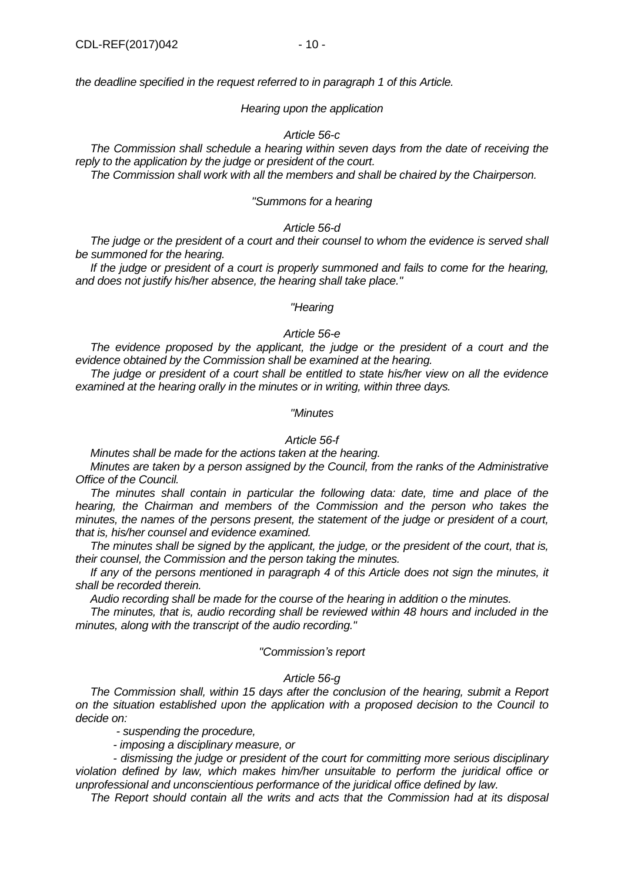*the deadline specified in the request referred to in paragraph 1 of this Article.*

#### *Hearing upon the application*

#### *Article 56-c*

*The Commission shall schedule a hearing within seven days from the date of receiving the reply to the application by the judge or president of the court.*

*The Commission shall work with all the members and shall be chaired by the Chairperson.*

#### *"Summons for a hearing*

## *Article 56-d*

*The judge or the president of a court and their counsel to whom the evidence is served shall be summoned for the hearing.*

*If the judge or president of a court is properly summoned and fails to come for the hearing, and does not justify his/her absence, the hearing shall take place."*

#### *"Hearing*

#### *Article 56-e*

*The evidence proposed by the applicant, the judge or the president of a court and the evidence obtained by the Commission shall be examined at the hearing.*

*The judge or president of a court shall be entitled to state his/her view on all the evidence examined at the hearing orally in the minutes or in writing, within three days.*

#### *"Minutes*

## *Article 56-f*

*Minutes shall be made for the actions taken at the hearing.*

*Minutes are taken by a person assigned by the Council, from the ranks of the Administrative Office of the Council.*

*The minutes shall contain in particular the following data: date, time and place of the hearing, the Chairman and members of the Commission and the person who takes the minutes, the names of the persons present, the statement of the judge or president of a court, that is, his/her counsel and evidence examined.*

*The minutes shall be signed by the applicant, the judge, or the president of the court, that is, their counsel, the Commission and the person taking the minutes.*

*If any of the persons mentioned in paragraph 4 of this Article does not sign the minutes, it shall be recorded therein.*

*Audio recording shall be made for the course of the hearing in addition o the minutes.*

*The minutes, that is, audio recording shall be reviewed within 48 hours and included in the minutes, along with the transcript of the audio recording."*

#### *"Commission's report*

#### *Article 56-g*

*The Commission shall, within 15 days after the conclusion of the hearing, submit a Report on the situation established upon the application with a proposed decision to the Council to decide on:*

*- suspending the procedure,*

*- imposing a disciplinary measure, or* 

*- dismissing the judge or president of the court for committing more serious disciplinary violation defined by law, which makes him/her unsuitable to perform the juridical office or unprofessional and unconscientious performance of the juridical office defined by law.*

*The Report should contain all the writs and acts that the Commission had at its disposal*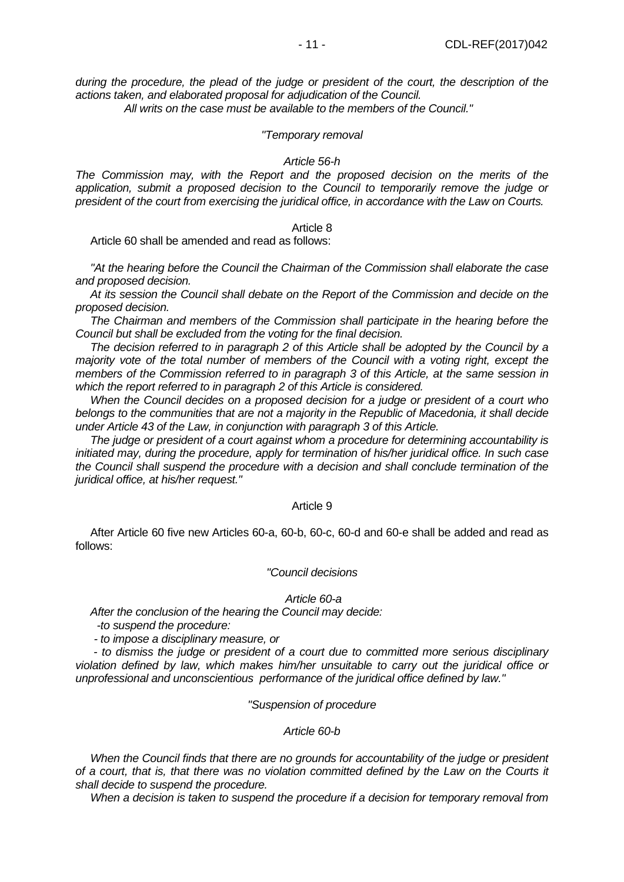*during the procedure, the plead of the judge or president of the court, the description of the actions taken, and elaborated proposal for adjudication of the Council.*

 *All writs on the case must be available to the members of the Council."*

## *"Temporary removal*

#### *Article 56-h*

*The Commission may, with the Report and the proposed decision on the merits of the application, submit a proposed decision to the Council to temporarily remove the judge or president of the court from exercising the juridical office, in accordance with the Law on Courts.*

#### Article 8

Article 60 shall be amended and read as follows:

*"At the hearing before the Council the Chairman of the Commission shall elaborate the case and proposed decision.*

*At its session the Council shall debate on the Report of the Commission and decide on the proposed decision.*

*The Chairman and members of the Commission shall participate in the hearing before the Council but shall be excluded from the voting for the final decision.*

*The decision referred to in paragraph 2 of this Article shall be adopted by the Council by a majority vote of the total number of members of the Council with a voting right, except the members of the Commission referred to in paragraph 3 of this Article, at the same session in which the report referred to in paragraph 2 of this Article is considered.*

*When the Council decides on a proposed decision for a judge or president of a court who belongs to the communities that are not a majority in the Republic of Macedonia, it shall decide under Article 43 of the Law, in conjunction with paragraph 3 of this Article.*

*The judge or president of a court against whom a procedure for determining accountability is initiated may, during the procedure, apply for termination of his/her juridical office. In such case the Council shall suspend the procedure with a decision and shall conclude termination of the juridical office, at his/her request."*

#### Article 9

After Article 60 five new Articles 60-a, 60-b, 60-c, 60-d and 60-e shall be added and read as follows:

#### *"Council decisions*

#### *Article 60-a*

*After the conclusion of the hearing the Council may decide:*

 *-to suspend the procedure:*

 *- to impose a disciplinary measure, or* 

 *- to dismiss the judge or president of a court due to committed more serious disciplinary violation defined by law, which makes him/her unsuitable to carry out the juridical office or unprofessional and unconscientious performance of the juridical office defined by law."*

## *"Suspension of procedure*

#### *Article 60-b*

*When the Council finds that there are no grounds for accountability of the judge or president of a court, that is, that there was no violation committed defined by the Law on the Courts it shall decide to suspend the procedure.*

*When a decision is taken to suspend the procedure if a decision for temporary removal from*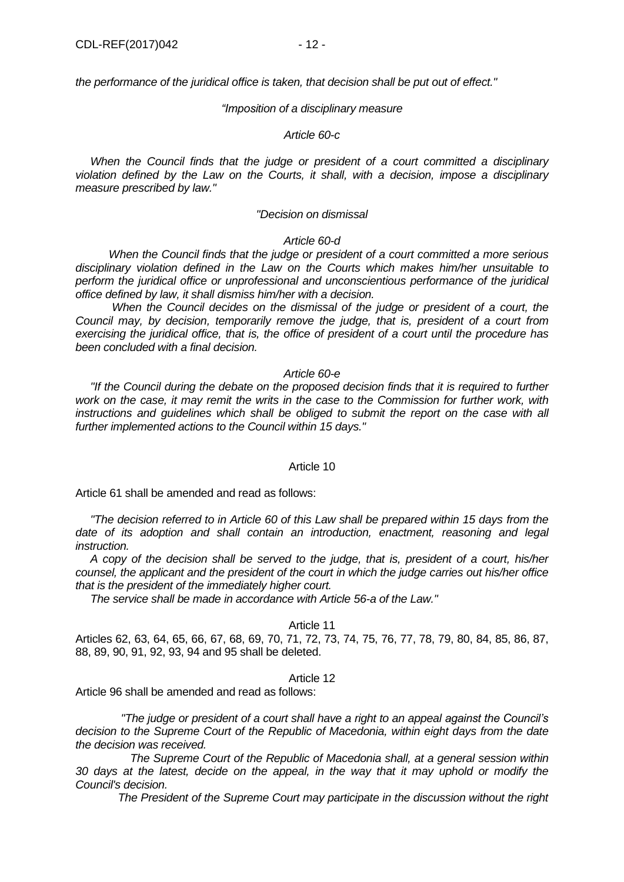*the performance of the juridical office is taken, that decision shall be put out of effect."*

#### *"Imposition of a disciplinary measure*

#### *Article 60-c*

*When the Council finds that the judge or president of a court committed a disciplinary violation defined by the Law on the Courts, it shall, with a decision, impose a disciplinary measure prescribed by law."*

#### *"Decision on dismissal*

#### *Article 60-d*

 *When the Council finds that the judge or president of a court committed a more serious disciplinary violation defined in the Law on the Courts which makes him/her unsuitable to perform the juridical office or unprofessional and unconscientious performance of the juridical office defined by law, it shall dismiss him/her with a decision.*

 *When the Council decides on the dismissal of the judge or president of a court, the Council may, by decision, temporarily remove the judge, that is, president of a court from exercising the juridical office, that is, the office of president of a court until the procedure has been concluded with a final decision.*

## *Article 60-e*

*"If the Council during the debate on the proposed decision finds that it is required to further work on the case, it may remit the writs in the case to the Commission for further work, with*  instructions and quidelines which shall be obliged to submit the report on the case with all *further implemented actions to the Council within 15 days."*

## Article 10

Article 61 shall be amended and read as follows:

*"The decision referred to in Article 60 of this Law shall be prepared within 15 days from the date of its adoption and shall contain an introduction, enactment, reasoning and legal instruction.*

*A copy of the decision shall be served to the judge, that is, president of a court, his/her counsel, the applicant and the president of the court in which the judge carries out his/her office that is the president of the immediately higher court.*

*The service shall be made in accordance with Article 56-a of the Law."*

## Article 11

Articles 62, 63, 64, 65, 66, 67, 68, 69, 70, 71, 72, 73, 74, 75, 76, 77, 78, 79, 80, 84, 85, 86, 87, 88, 89, 90, 91, 92, 93, 94 and 95 shall be deleted.

#### Article 12

Article 96 shall be amended and read as follows:

 *"The judge or president of a court shall have a right to an appeal against the Council's decision to the Supreme Court of the Republic of Macedonia, within eight days from the date the decision was received.*

 *The Supreme Court of the Republic of Macedonia shall, at a general session within 30 days at the latest, decide on the appeal, in the way that it may uphold or modify the Council's decision.* 

 *The President of the Supreme Court may participate in the discussion without the right*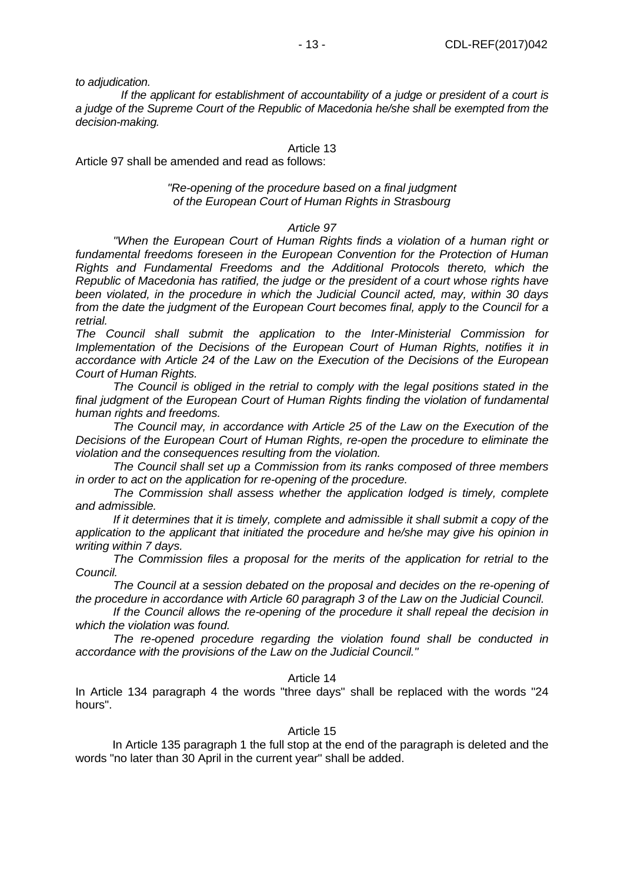*to adjudication.*

 *If the applicant for establishment of accountability of a judge or president of a court is a judge of the Supreme Court of the Republic of Macedonia he/she shall be exempted from the decision-making.*

# Article 13

Article 97 shall be amended and read as follows:

## *"Re-opening of the procedure based on a final judgment of the European Court of Human Rights in Strasbourg*

## *Article 97*

*"When the European Court of Human Rights finds a violation of a human right or fundamental freedoms foreseen in the European Convention for the Protection of Human Rights and Fundamental Freedoms and the Additional Protocols thereto, which the Republic of Macedonia has ratified, the judge or the president of a court whose rights have been violated, in the procedure in which the Judicial Council acted, may, within 30 days from the date the judgment of the European Court becomes final, apply to the Council for a retrial.*

*The Council shall submit the application to the Inter-Ministerial Commission for Implementation of the Decisions of the European Court of Human Rights, notifies it in accordance with Article 24 of the Law on the Execution of the Decisions of the European Court of Human Rights.*

*The Council is obliged in the retrial to comply with the legal positions stated in the final judgment of the European Court of Human Rights finding the violation of fundamental human rights and freedoms.*

*The Council may, in accordance with Article 25 of the Law on the Execution of the Decisions of the European Court of Human Rights, re-open the procedure to eliminate the violation and the consequences resulting from the violation.*

*The Council shall set up a Commission from its ranks composed of three members in order to act on the application for re-opening of the procedure.*

*The Commission shall assess whether the application lodged is timely, complete and admissible.*

*If it determines that it is timely, complete and admissible it shall submit a copy of the application to the applicant that initiated the procedure and he/she may give his opinion in writing within 7 days.*

*The Commission files a proposal for the merits of the application for retrial to the Council.*

*The Council at a session debated on the proposal and decides on the re-opening of the procedure in accordance with Article 60 paragraph 3 of the Law on the Judicial Council.*

*If the Council allows the re-opening of the procedure it shall repeal the decision in which the violation was found.*

*The re-opened procedure regarding the violation found shall be conducted in accordance with the provisions of the Law on the Judicial Council."*

#### Article 14

In Article 134 paragraph 4 the words "three days" shall be replaced with the words "24 hours".

#### Article 15

In Article 135 paragraph 1 the full stop at the end of the paragraph is deleted and the words "no later than 30 April in the current year" shall be added.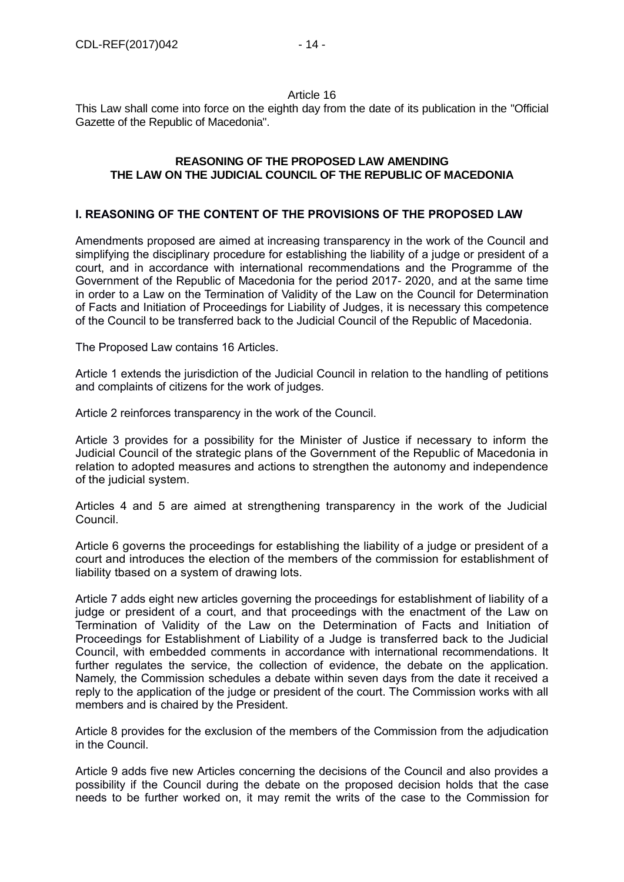## Article 16

This Law shall come into force on the eighth day from the date of its publication in the "Official Gazette of the Republic of Macedonia".

# **REASONING OF THE PROPOSED LAW AMENDING THE LAW ON THE JUDICIAL COUNCIL OF THE REPUBLIC OF MACEDONIA**

# **I. REASONING OF THE CONTENT OF THE PROVISIONS OF THE PROPOSED LAW**

Amendments proposed are aimed at increasing transparency in the work of the Council and simplifying the disciplinary procedure for establishing the liability of a judge or president of a court, and in accordance with international recommendations and the Programme of the Government of the Republic of Macedonia for the period 2017- 2020, and at the same time in order to a Law on the Termination of Validity of the Law on the Council for Determination of Facts and Initiation of Proceedings for Liability of Judges, it is necessary this competence of the Council to be transferred back to the Judicial Council of the Republic of Macedonia.

The Proposed Law contains 16 Articles.

Article 1 extends the jurisdiction of the Judicial Council in relation to the handling of petitions and complaints of citizens for the work of judges.

Article 2 reinforces transparency in the work of the Council.

Article 3 provides for a possibility for the Minister of Justice if necessary to inform the Judicial Council of the strategic plans of the Government of the Republic of Macedonia in relation to adopted measures and actions to strengthen the autonomy and independence of the judicial system.

Articles 4 and 5 are aimed at strengthening transparency in the work of the Judicial Council.

Article 6 governs the proceedings for establishing the liability of a judge or president of a court and introduces the election of the members of the commission for establishment of liability tbased on a system of drawing lots.

Article 7 adds eight new articles governing the proceedings for establishment of liability of a judge or president of a court, and that proceedings with the enactment of the Law on Termination of Validity of the Law on the Determination of Facts and Initiation of Proceedings for Establishment of Liability of a Judge is transferred back to the Judicial Council, with embedded comments in accordance with international recommendations. It further regulates the service, the collection of evidence, the debate on the application. Namely, the Commission schedules a debate within seven days from the date it received a reply to the application of the judge or president of the court. The Commission works with all members and is chaired by the President.

Article 8 provides for the exclusion of the members of the Commission from the adjudication in the Council.

Article 9 adds five new Articles concerning the decisions of the Council and also provides a possibility if the Council during the debate on the proposed decision holds that the case needs to be further worked on, it may remit the writs of the case to the Commission for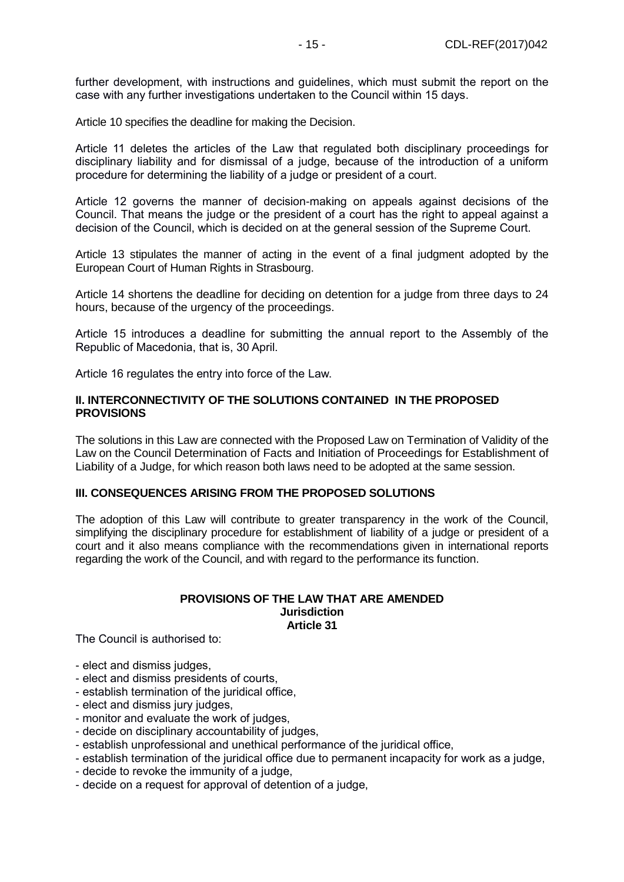further development, with instructions and guidelines, which must submit the report on the case with any further investigations undertaken to the Council within 15 days.

Article 10 specifies the deadline for making the Decision.

Article 11 deletes the articles of the Law that regulated both disciplinary proceedings for disciplinary liability and for dismissal of a judge, because of the introduction of a uniform procedure for determining the liability of a judge or president of a court.

Article 12 governs the manner of decision-making on appeals against decisions of the Council. That means the judge or the president of a court has the right to appeal against a decision of the Council, which is decided on at the general session of the Supreme Court.

Article 13 stipulates the manner of acting in the event of a final judgment adopted by the European Court of Human Rights in Strasbourg.

Article 14 shortens the deadline for deciding on detention for a judge from three days to 24 hours, because of the urgency of the proceedings.

Article 15 introduces a deadline for submitting the annual report to the Assembly of the Republic of Macedonia, that is, 30 April.

Article 16 regulates the entry into force of the Law.

## **II. INTERCONNECTIVITY OF THE SOLUTIONS CONTAINED IN THE PROPOSED PROVISIONS**

The solutions in this Law are connected with the Proposed Law on Termination of Validity of the Law on the Council Determination of Facts and Initiation of Proceedings for Establishment of Liability of a Judge, for which reason both laws need to be adopted at the same session.

# **III. CONSEQUENCES ARISING FROM THE PROPOSED SOLUTIONS**

The adoption of this Law will contribute to greater transparency in the work of the Council, simplifying the disciplinary procedure for establishment of liability of a judge or president of a court and it also means compliance with the recommendations given in international reports regarding the work of the Council, and with regard to the performance its function.

#### **PROVISIONS OF THE LAW THAT ARE AMENDED Jurisdiction Article 31**

The Council is authorised to:

- elect and dismiss judges,
- elect and dismiss presidents of courts,
- establish termination of the juridical office,
- elect and dismiss jury judges,
- monitor and evaluate the work of judges,
- decide on disciplinary accountability of judges,
- establish unprofessional and unethical performance of the juridical office,
- establish termination of the juridical office due to permanent incapacity for work as a judge,
- decide to revoke the immunity of a judge,
- decide on a request for approval of detention of a judge,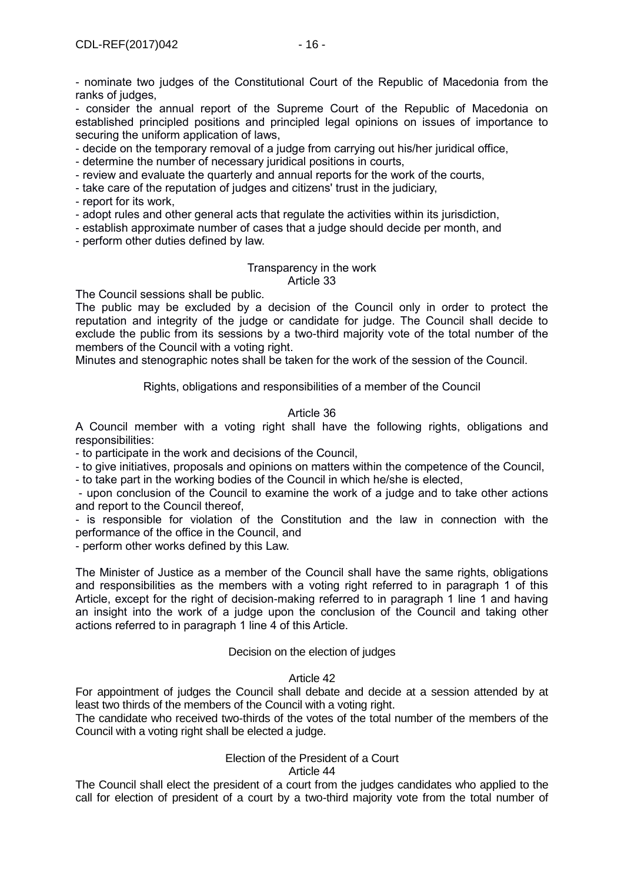- nominate two judges of the Constitutional Court of the Republic of Macedonia from the ranks of judges.

- consider the annual report of the Supreme Court of the Republic of Macedonia on established principled positions and principled legal opinions on issues of importance to securing the uniform application of laws,

- decide on the temporary removal of a judge from carrying out his/her juridical office,

- determine the number of necessary juridical positions in courts,
- review and evaluate the quarterly and annual reports for the work of the courts,
- take care of the reputation of judges and citizens' trust in the judiciary,
- report for its work,
- adopt rules and other general acts that regulate the activities within its jurisdiction,
- establish approximate number of cases that a judge should decide per month, and
- perform other duties defined by law.

#### Transparency in the work Article 33

The Council sessions shall be public.

The public may be excluded by a decision of the Council only in order to protect the reputation and integrity of the judge or candidate for judge. The Council shall decide to exclude the public from its sessions by a two-third majority vote of the total number of the members of the Council with a voting right.

Minutes and stenographic notes shall be taken for the work of the session of the Council.

Rights, obligations and responsibilities of a member of the Council

## Article 36

A Council member with a voting right shall have the following rights, obligations and responsibilities:

- to participate in the work and decisions of the Council,

- to give initiatives, proposals and opinions on matters within the competence of the Council,

- to take part in the working bodies of the Council in which he/she is elected,

- upon conclusion of the Council to examine the work of a judge and to take other actions and report to the Council thereof,

- is responsible for violation of the Constitution and the law in connection with the performance of the office in the Council, and

- perform other works defined by this Law.

The Minister of Justice as a member of the Council shall have the same rights, obligations and responsibilities as the members with a voting right referred to in paragraph 1 of this Article, except for the right of decision-making referred to in paragraph 1 line 1 and having an insight into the work of a judge upon the conclusion of the Council and taking other actions referred to in paragraph 1 line 4 of this Article.

## Decision on the election of judges

## Article 42

For appointment of judges the Council shall debate and decide at a session attended by at least two thirds of the members of the Council with a voting right.

The candidate who received two-thirds of the votes of the total number of the members of the Council with a voting right shall be elected a judge.

# Election of the President of a Court

## Article 44

The Council shall elect the president of a court from the judges candidates who applied to the call for election of president of a court by a two-third majority vote from the total number of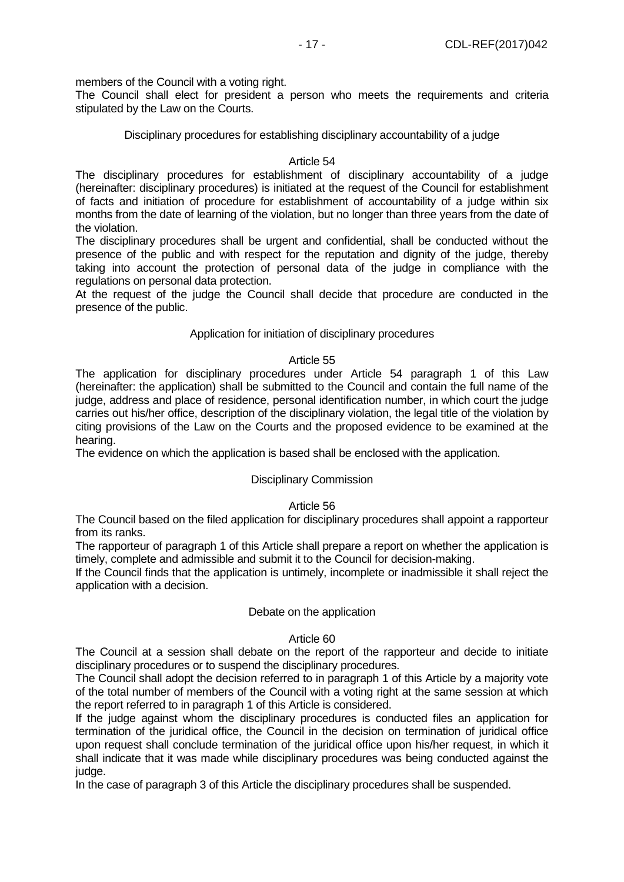members of the Council with a voting right.

The Council shall elect for president a person who meets the requirements and criteria stipulated by the Law on the Courts.

Disciplinary procedures for establishing disciplinary accountability of a judge

## Article 54

The disciplinary procedures for establishment of disciplinary accountability of a judge (hereinafter: disciplinary procedures) is initiated at the request of the Council for establishment of facts and initiation of procedure for establishment of accountability of a judge within six months from the date of learning of the violation, but no longer than three years from the date of the violation.

The disciplinary procedures shall be urgent and confidential, shall be conducted without the presence of the public and with respect for the reputation and dignity of the judge, thereby taking into account the protection of personal data of the judge in compliance with the regulations on personal data protection.

At the request of the judge the Council shall decide that procedure are conducted in the presence of the public.

## Application for initiation of disciplinary procedures

## Article 55

The application for disciplinary procedures under Article 54 paragraph 1 of this Law (hereinafter: the application) shall be submitted to the Council and contain the full name of the judge, address and place of residence, personal identification number, in which court the judge carries out his/her office, description of the disciplinary violation, the legal title of the violation by citing provisions of the Law on the Courts and the proposed evidence to be examined at the hearing.

The evidence on which the application is based shall be enclosed with the application.

# Disciplinary Commission

# Article 56

The Council based on the filed application for disciplinary procedures shall appoint a rapporteur from its ranks.

The rapporteur of paragraph 1 of this Article shall prepare a report on whether the application is timely, complete and admissible and submit it to the Council for decision-making.

If the Council finds that the application is untimely, incomplete or inadmissible it shall reject the application with a decision.

## Debate on the application

## Article 60

The Council at a session shall debate on the report of the rapporteur and decide to initiate disciplinary procedures or to suspend the disciplinary procedures.

The Council shall adopt the decision referred to in paragraph 1 of this Article by a majority vote of the total number of members of the Council with a voting right at the same session at which the report referred to in paragraph 1 of this Article is considered.

If the judge against whom the disciplinary procedures is conducted files an application for termination of the juridical office, the Council in the decision on termination of juridical office upon request shall conclude termination of the juridical office upon his/her request, in which it shall indicate that it was made while disciplinary procedures was being conducted against the judge.

In the case of paragraph 3 of this Article the disciplinary procedures shall be suspended.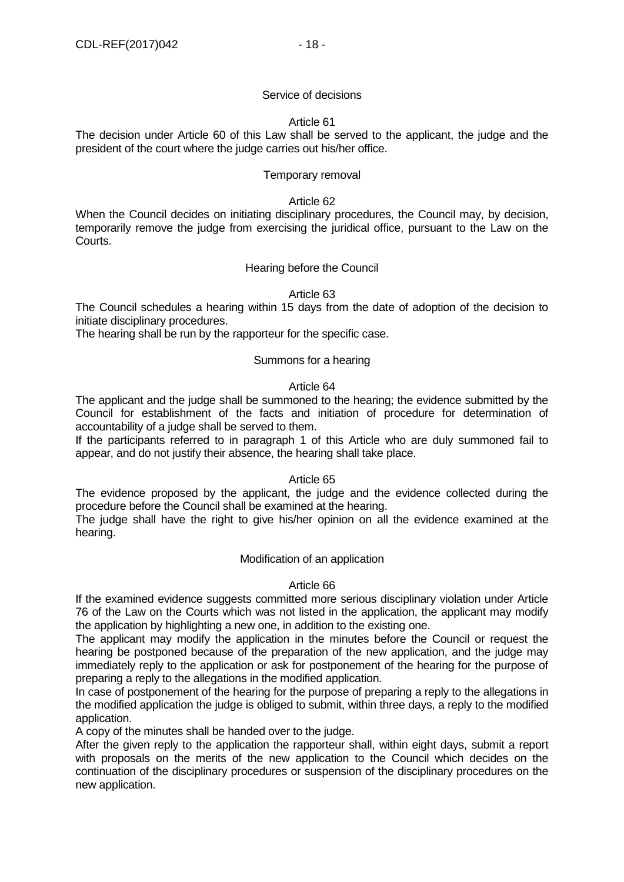## Service of decisions

## Article 61

The decision under Article 60 of this Law shall be served to the applicant, the judge and the president of the court where the judge carries out his/her office.

## Temporary removal

#### Article 62

When the Council decides on initiating disciplinary procedures, the Council may, by decision, temporarily remove the judge from exercising the juridical office, pursuant to the Law on the Courts.

## Hearing before the Council

## Article 63

The Council schedules a hearing within 15 days from the date of adoption of the decision to initiate disciplinary procedures.

The hearing shall be run by the rapporteur for the specific case.

## Summons for a hearing

## Article 64

The applicant and the judge shall be summoned to the hearing; the evidence submitted by the Council for establishment of the facts and initiation of procedure for determination of accountability of a judge shall be served to them.

If the participants referred to in paragraph 1 of this Article who are duly summoned fail to appear, and do not justify their absence, the hearing shall take place.

## Article 65

The evidence proposed by the applicant, the judge and the evidence collected during the procedure before the Council shall be examined at the hearing.

The judge shall have the right to give his/her opinion on all the evidence examined at the hearing.

## Modification of an application

## Article 66

If the examined evidence suggests committed more serious disciplinary violation under Article 76 of the Law on the Courts which was not listed in the application, the applicant may modify the application by highlighting a new one, in addition to the existing one.

The applicant may modify the application in the minutes before the Council or request the hearing be postponed because of the preparation of the new application, and the judge may immediately reply to the application or ask for postponement of the hearing for the purpose of preparing a reply to the allegations in the modified application.

In case of postponement of the hearing for the purpose of preparing a reply to the allegations in the modified application the judge is obliged to submit, within three days, a reply to the modified application.

A copy of the minutes shall be handed over to the judge.

After the given reply to the application the rapporteur shall, within eight days, submit a report with proposals on the merits of the new application to the Council which decides on the continuation of the disciplinary procedures or suspension of the disciplinary procedures on the new application.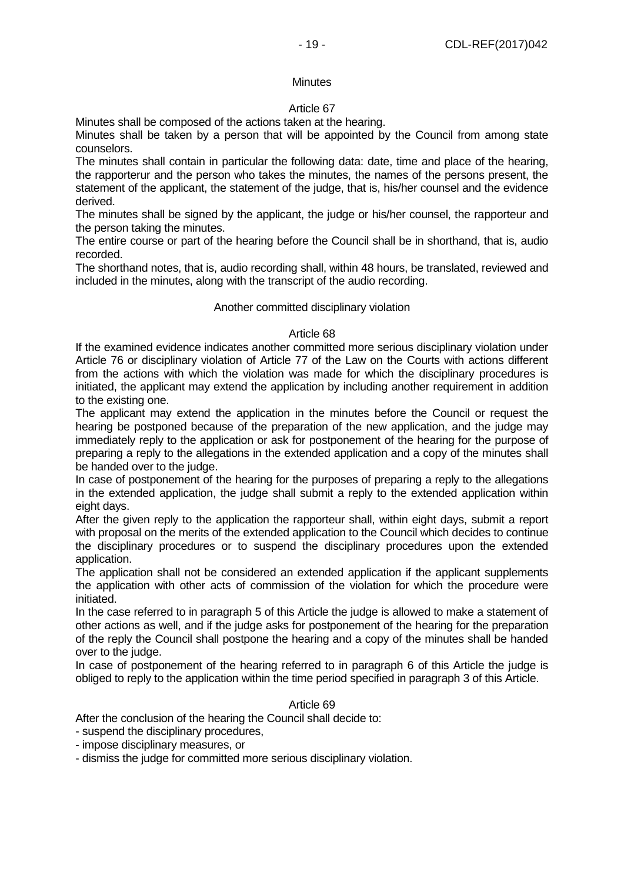## **Minutes**

# Article 67

Minutes shall be composed of the actions taken at the hearing.

Minutes shall be taken by a person that will be appointed by the Council from among state counselors.

The minutes shall contain in particular the following data: date, time and place of the hearing, the rapporterur and the person who takes the minutes, the names of the persons present, the statement of the applicant, the statement of the judge, that is, his/her counsel and the evidence derived.

The minutes shall be signed by the applicant, the judge or his/her counsel, the rapporteur and the person taking the minutes.

The entire course or part of the hearing before the Council shall be in shorthand, that is, audio recorded.

The shorthand notes, that is, audio recording shall, within 48 hours, be translated, reviewed and included in the minutes, along with the transcript of the audio recording.

## Another committed disciplinary violation

# Article 68

If the examined evidence indicates another committed more serious disciplinary violation under Article 76 or disciplinary violation of Article 77 of the Law on the Courts with actions different from the actions with which the violation was made for which the disciplinary procedures is initiated, the applicant may extend the application by including another requirement in addition to the existing one.

The applicant may extend the application in the minutes before the Council or request the hearing be postponed because of the preparation of the new application, and the judge may immediately reply to the application or ask for postponement of the hearing for the purpose of preparing a reply to the allegations in the extended application and a copy of the minutes shall be handed over to the judge.

In case of postponement of the hearing for the purposes of preparing a reply to the allegations in the extended application, the judge shall submit a reply to the extended application within eight days.

After the given reply to the application the rapporteur shall, within eight days, submit a report with proposal on the merits of the extended application to the Council which decides to continue the disciplinary procedures or to suspend the disciplinary procedures upon the extended application.

The application shall not be considered an extended application if the applicant supplements the application with other acts of commission of the violation for which the procedure were initiated.

In the case referred to in paragraph 5 of this Article the judge is allowed to make a statement of other actions as well, and if the judge asks for postponement of the hearing for the preparation of the reply the Council shall postpone the hearing and a copy of the minutes shall be handed over to the judge.

In case of postponement of the hearing referred to in paragraph 6 of this Article the judge is obliged to reply to the application within the time period specified in paragraph 3 of this Article.

## Article 69

After the conclusion of the hearing the Council shall decide to:

- suspend the disciplinary procedures,
- impose disciplinary measures, or

- dismiss the judge for committed more serious disciplinary violation.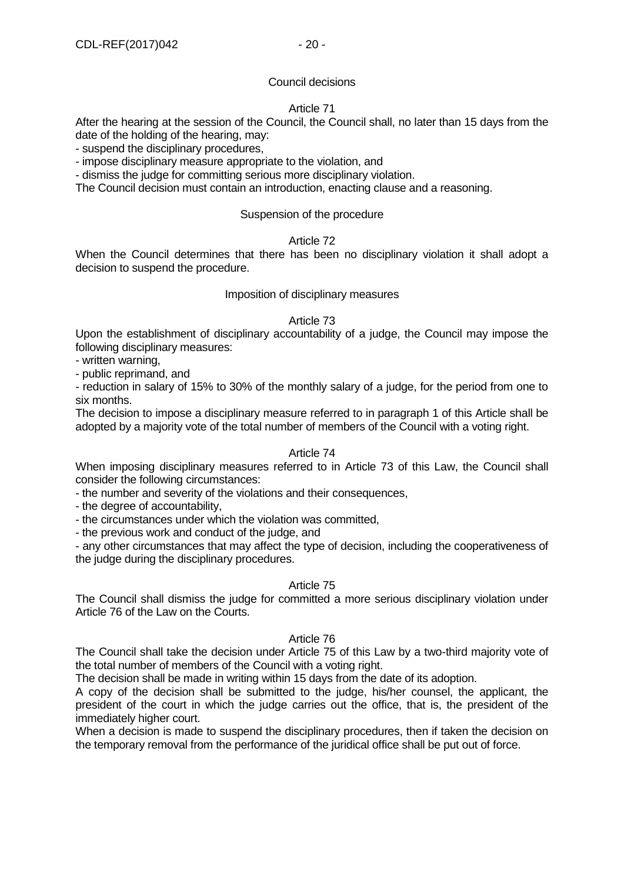## Council decisions

# Article 71

After the hearing at the session of the Council, the Council shall, no later than 15 days from the date of the holding of the hearing, may:

- suspend the disciplinary procedures,

- impose disciplinary measure appropriate to the violation, and

- dismiss the judge for committing serious more disciplinary violation.

The Council decision must contain an introduction, enacting clause and a reasoning.

## Suspension of the procedure

## Article 72

When the Council determines that there has been no disciplinary violation it shall adopt a decision to suspend the procedure.

## Imposition of disciplinary measures

## Article 73

Upon the establishment of disciplinary accountability of a judge, the Council may impose the following disciplinary measures:

- written warning,

- public reprimand, and

- reduction in salary of 15% to 30% of the monthly salary of a judge, for the period from one to six months.

The decision to impose a disciplinary measure referred to in paragraph 1 of this Article shall be adopted by a majority vote of the total number of members of the Council with a voting right.

## Article 74

When imposing disciplinary measures referred to in Article 73 of this Law, the Council shall consider the following circumstances:

- the number and severity of the violations and their consequences,

- the degree of accountability,

- the circumstances under which the violation was committed,

- the previous work and conduct of the judge, and

- any other circumstances that may affect the type of decision, including the cooperativeness of the judge during the disciplinary procedures.

# Article 75

The Council shall dismiss the judge for committed a more serious disciplinary violation under Article 76 of the Law on the Courts.

## Article 76

The Council shall take the decision under Article 75 of this Law by a two-third majority vote of the total number of members of the Council with a voting right.

The decision shall be made in writing within 15 days from the date of its adoption.

A copy of the decision shall be submitted to the judge, his/her counsel, the applicant, the president of the court in which the judge carries out the office, that is, the president of the immediately higher court.

When a decision is made to suspend the disciplinary procedures, then if taken the decision on the temporary removal from the performance of the juridical office shall be put out of force.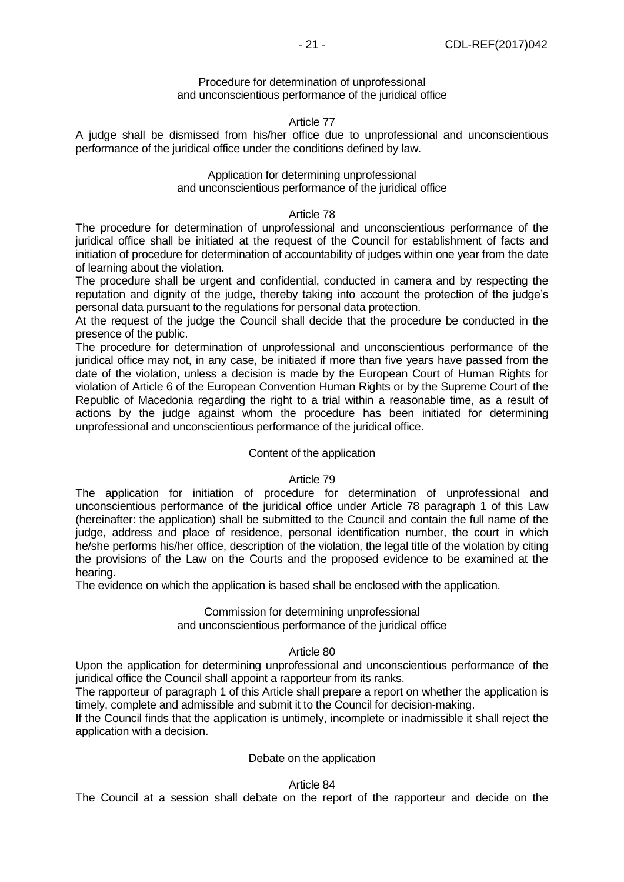## Procedure for determination of unprofessional and unconscientious performance of the juridical office

# Article 77

A judge shall be dismissed from his/her office due to unprofessional and unconscientious performance of the juridical office under the conditions defined by law.

## Application for determining unprofessional and unconscientious performance of the juridical office

## Article 78

The procedure for determination of unprofessional and unconscientious performance of the juridical office shall be initiated at the request of the Council for establishment of facts and initiation of procedure for determination of accountability of judges within one year from the date of learning about the violation.

The procedure shall be urgent and confidential, conducted in camera and by respecting the reputation and dignity of the judge, thereby taking into account the protection of the judge's personal data pursuant to the regulations for personal data protection.

At the request of the judge the Council shall decide that the procedure be conducted in the presence of the public.

The procedure for determination of unprofessional and unconscientious performance of the juridical office may not, in any case, be initiated if more than five years have passed from the date of the violation, unless a decision is made by the European Court of Human Rights for violation of Article 6 of the European Convention Human Rights or by the Supreme Court of the Republic of Macedonia regarding the right to a trial within a reasonable time, as a result of actions by the judge against whom the procedure has been initiated for determining unprofessional and unconscientious performance of the juridical office.

# Content of the application

## Article 79

The application for initiation of procedure for determination of unprofessional and unconscientious performance of the juridical office under Article 78 paragraph 1 of this Law (hereinafter: the application) shall be submitted to the Council and contain the full name of the judge, address and place of residence, personal identification number, the court in which he/she performs his/her office, description of the violation, the legal title of the violation by citing the provisions of the Law on the Courts and the proposed evidence to be examined at the hearing.

The evidence on which the application is based shall be enclosed with the application.

## Commission for determining unprofessional

and unconscientious performance of the juridical office

## Article 80

Upon the application for determining unprofessional and unconscientious performance of the juridical office the Council shall appoint a rapporteur from its ranks.

The rapporteur of paragraph 1 of this Article shall prepare a report on whether the application is timely, complete and admissible and submit it to the Council for decision-making.

If the Council finds that the application is untimely, incomplete or inadmissible it shall reject the application with a decision.

## Debate on the application

# Article 84

The Council at a session shall debate on the report of the rapporteur and decide on the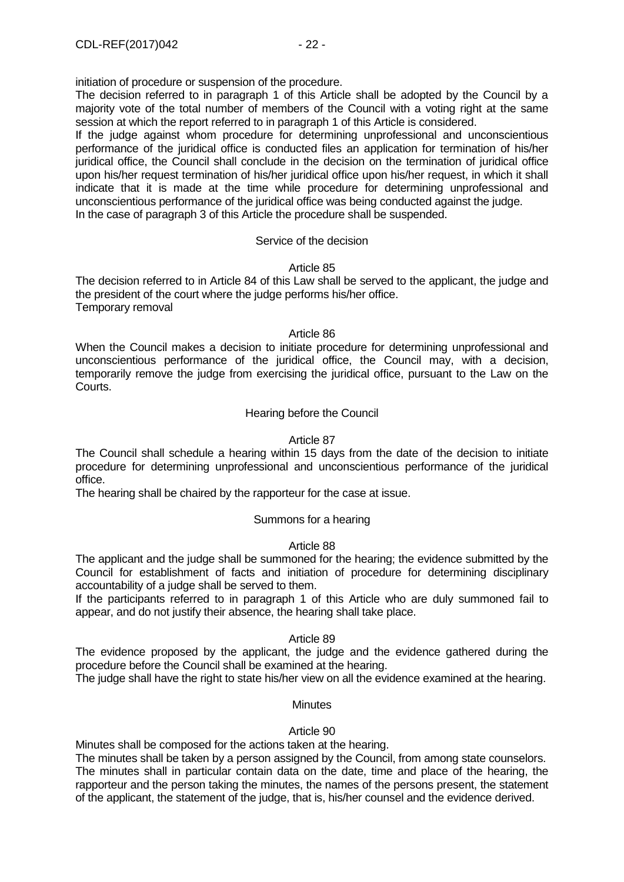initiation of procedure or suspension of the procedure.

The decision referred to in paragraph 1 of this Article shall be adopted by the Council by a majority vote of the total number of members of the Council with a voting right at the same session at which the report referred to in paragraph 1 of this Article is considered.

If the judge against whom procedure for determining unprofessional and unconscientious performance of the juridical office is conducted files an application for termination of his/her juridical office, the Council shall conclude in the decision on the termination of juridical office upon his/her request termination of his/her juridical office upon his/her request, in which it shall indicate that it is made at the time while procedure for determining unprofessional and unconscientious performance of the juridical office was being conducted against the judge. In the case of paragraph 3 of this Article the procedure shall be suspended.

## Service of the decision

## Article 85

The decision referred to in Article 84 of this Law shall be served to the applicant, the judge and the president of the court where the judge performs his/her office. Temporary removal

## Article 86

When the Council makes a decision to initiate procedure for determining unprofessional and unconscientious performance of the juridical office, the Council may, with a decision, temporarily remove the judge from exercising the juridical office, pursuant to the Law on the Courts.

# Hearing before the Council

## Article 87

The Council shall schedule a hearing within 15 days from the date of the decision to initiate procedure for determining unprofessional and unconscientious performance of the juridical office.

The hearing shall be chaired by the rapporteur for the case at issue.

# Summons for a hearing

## Article 88

The applicant and the judge shall be summoned for the hearing; the evidence submitted by the Council for establishment of facts and initiation of procedure for determining disciplinary accountability of a judge shall be served to them.

If the participants referred to in paragraph 1 of this Article who are duly summoned fail to appear, and do not justify their absence, the hearing shall take place.

## Article 89

The evidence proposed by the applicant, the judge and the evidence gathered during the procedure before the Council shall be examined at the hearing.

The judge shall have the right to state his/her view on all the evidence examined at the hearing.

# **Minutes**

## Article 90

Minutes shall be composed for the actions taken at the hearing.

The minutes shall be taken by a person assigned by the Council, from among state counselors. The minutes shall in particular contain data on the date, time and place of the hearing, the rapporteur and the person taking the minutes, the names of the persons present, the statement of the applicant, the statement of the judge, that is, his/her counsel and the evidence derived.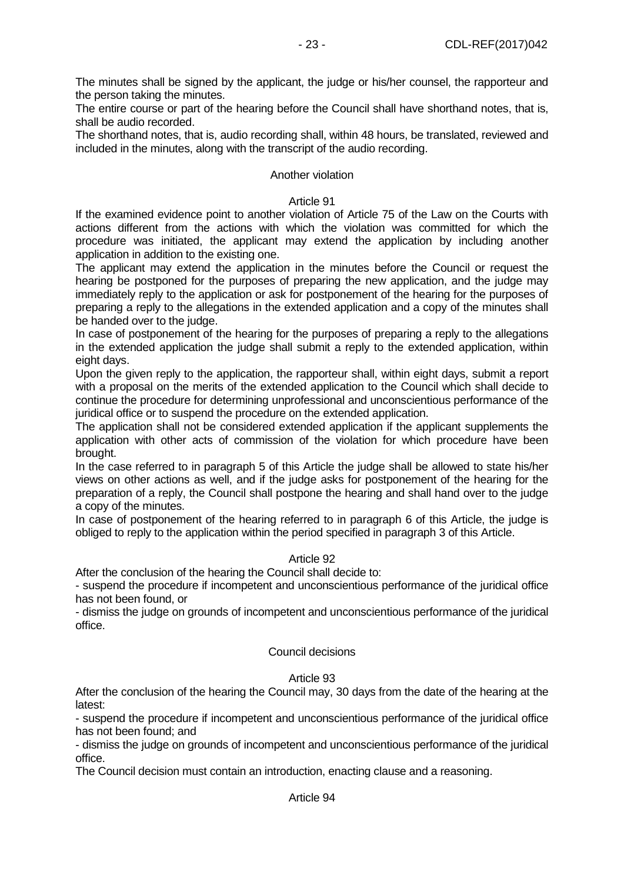The minutes shall be signed by the applicant, the judge or his/her counsel, the rapporteur and the person taking the minutes.

The entire course or part of the hearing before the Council shall have shorthand notes, that is, shall be audio recorded.

The shorthand notes, that is, audio recording shall, within 48 hours, be translated, reviewed and included in the minutes, along with the transcript of the audio recording.

# Another violation

## Article 91

If the examined evidence point to another violation of Article 75 of the Law on the Courts with actions different from the actions with which the violation was committed for which the procedure was initiated, the applicant may extend the application by including another application in addition to the existing one.

The applicant may extend the application in the minutes before the Council or request the hearing be postponed for the purposes of preparing the new application, and the judge may immediately reply to the application or ask for postponement of the hearing for the purposes of preparing a reply to the allegations in the extended application and a copy of the minutes shall be handed over to the judge.

In case of postponement of the hearing for the purposes of preparing a reply to the allegations in the extended application the judge shall submit a reply to the extended application, within eight days.

Upon the given reply to the application, the rapporteur shall, within eight days, submit a report with a proposal on the merits of the extended application to the Council which shall decide to continue the procedure for determining unprofessional and unconscientious performance of the juridical office or to suspend the procedure on the extended application.

The application shall not be considered extended application if the applicant supplements the application with other acts of commission of the violation for which procedure have been brought.

In the case referred to in paragraph 5 of this Article the judge shall be allowed to state his/her views on other actions as well, and if the judge asks for postponement of the hearing for the preparation of a reply, the Council shall postpone the hearing and shall hand over to the judge a copy of the minutes.

In case of postponement of the hearing referred to in paragraph 6 of this Article, the judge is obliged to reply to the application within the period specified in paragraph 3 of this Article.

# Article 92

After the conclusion of the hearing the Council shall decide to:

- suspend the procedure if incompetent and unconscientious performance of the juridical office has not been found, or

- dismiss the judge on grounds of incompetent and unconscientious performance of the juridical office.

# Council decisions

## Article 93

After the conclusion of the hearing the Council may, 30 days from the date of the hearing at the latest:

- suspend the procedure if incompetent and unconscientious performance of the juridical office has not been found; and

- dismiss the judge on grounds of incompetent and unconscientious performance of the juridical office.

The Council decision must contain an introduction, enacting clause and a reasoning.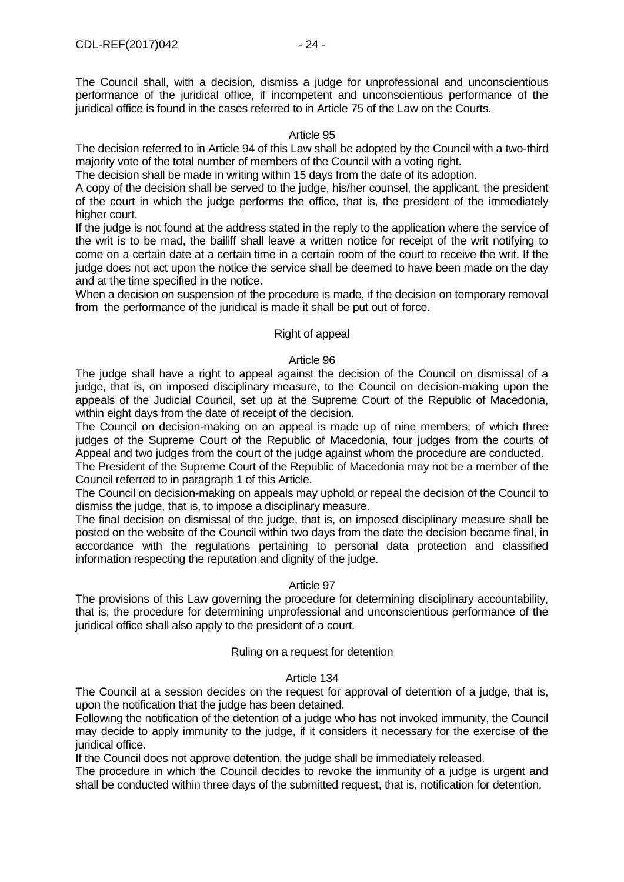# Article 95

The decision referred to in Article 94 of this Law shall be adopted by the Council with a two-third majority vote of the total number of members of the Council with a voting right.

The decision shall be made in writing within 15 days from the date of its adoption.

juridical office is found in the cases referred to in Article 75 of the Law on the Courts.

A copy of the decision shall be served to the judge, his/her counsel, the applicant, the president of the court in which the judge performs the office, that is, the president of the immediately higher court.

If the judge is not found at the address stated in the reply to the application where the service of the writ is to be mad, the bailiff shall leave a written notice for receipt of the writ notifying to come on a certain date at a certain time in a certain room of the court to receive the writ. If the judge does not act upon the notice the service shall be deemed to have been made on the day and at the time specified in the notice.

When a decision on suspension of the procedure is made, if the decision on temporary removal from the performance of the juridical is made it shall be put out of force.

## Right of appeal

## Article 96

The judge shall have a right to appeal against the decision of the Council on dismissal of a judge, that is, on imposed disciplinary measure, to the Council on decision-making upon the appeals of the Judicial Council, set up at the Supreme Court of the Republic of Macedonia, within eight days from the date of receipt of the decision.

The Council on decision-making on an appeal is made up of nine members, of which three judges of the Supreme Court of the Republic of Macedonia, four judges from the courts of Appeal and two judges from the court of the judge against whom the procedure are conducted.

The President of the Supreme Court of the Republic of Macedonia may not be a member of the Council referred to in paragraph 1 of this Article.

The Council on decision-making on appeals may uphold or repeal the decision of the Council to dismiss the judge, that is, to impose a disciplinary measure.

The final decision on dismissal of the judge, that is, on imposed disciplinary measure shall be posted on the website of the Council within two days from the date the decision became final, in accordance with the regulations pertaining to personal data protection and classified information respecting the reputation and dignity of the judge.

## Article 97

The provisions of this Law governing the procedure for determining disciplinary accountability, that is, the procedure for determining unprofessional and unconscientious performance of the juridical office shall also apply to the president of a court.

## Ruling on a request for detention

## Article 134

The Council at a session decides on the request for approval of detention of a judge, that is, upon the notification that the judge has been detained.

Following the notification of the detention of a judge who has not invoked immunity, the Council may decide to apply immunity to the judge, if it considers it necessary for the exercise of the juridical office.

If the Council does not approve detention, the judge shall be immediately released.

The procedure in which the Council decides to revoke the immunity of a judge is urgent and shall be conducted within three days of the submitted request, that is, notification for detention.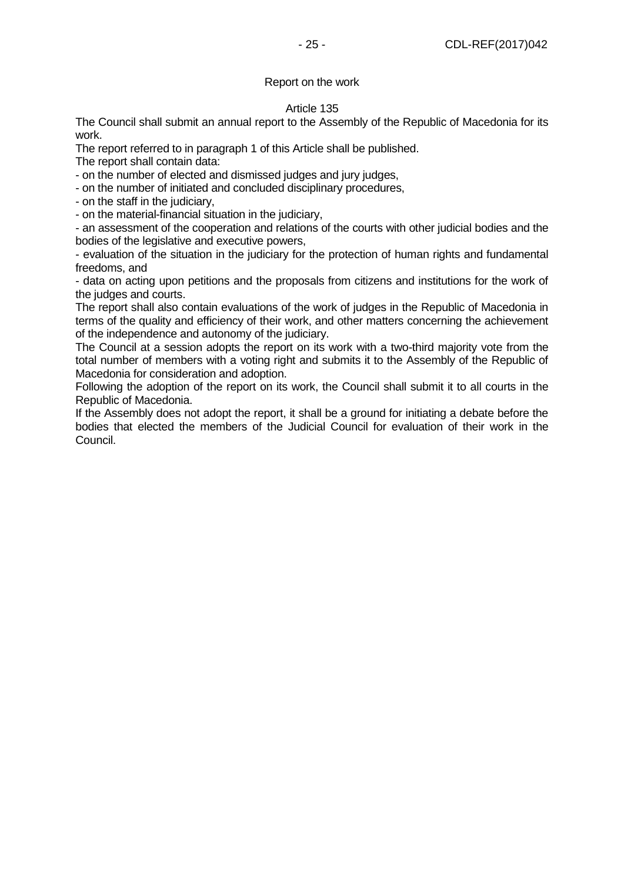# Report on the work

## Article 135

The Council shall submit an annual report to the Assembly of the Republic of Macedonia for its work.

The report referred to in paragraph 1 of this Article shall be published.

The report shall contain data:

- on the number of elected and dismissed judges and jury judges,

- on the number of initiated and concluded disciplinary procedures,

- on the staff in the judiciary,

- on the material-financial situation in the judiciary,

- an assessment of the cooperation and relations of the courts with other judicial bodies and the bodies of the legislative and executive powers,

- evaluation of the situation in the judiciary for the protection of human rights and fundamental freedoms, and

- data on acting upon petitions and the proposals from citizens and institutions for the work of the judges and courts.

The report shall also contain evaluations of the work of judges in the Republic of Macedonia in terms of the quality and efficiency of their work, and other matters concerning the achievement of the independence and autonomy of the judiciary.

The Council at a session adopts the report on its work with a two-third majority vote from the total number of members with a voting right and submits it to the Assembly of the Republic of Macedonia for consideration and adoption.

Following the adoption of the report on its work, the Council shall submit it to all courts in the Republic of Macedonia.

If the Assembly does not adopt the report, it shall be a ground for initiating a debate before the bodies that elected the members of the Judicial Council for evaluation of their work in the Council.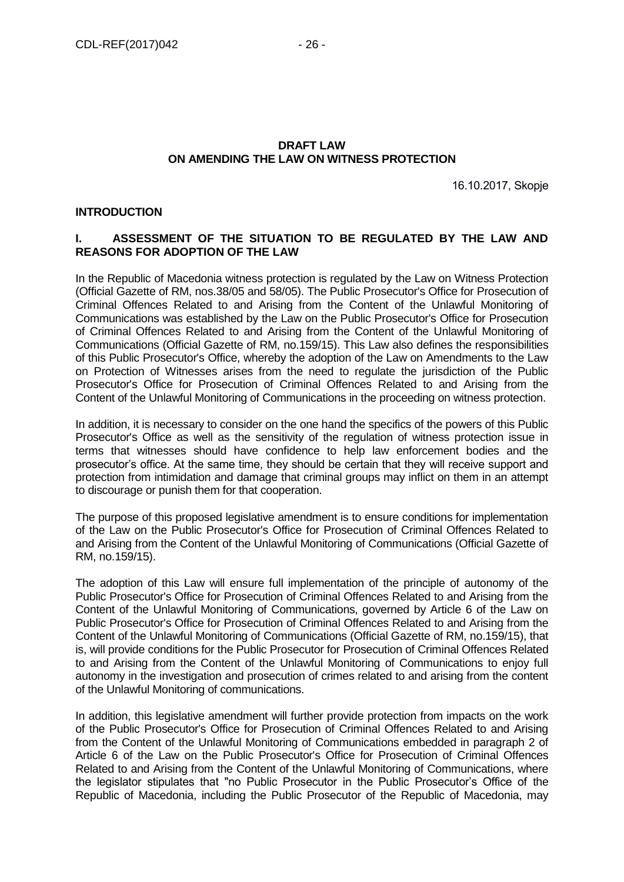# **DRAFT LAW ON AMENDING THE LAW ON WITNESS PROTECTION**

16.10.2017, Skopje

## **INTRODUCTION**

# **I. ASSESSMENT OF THE SITUATION TO BE REGULATED BY THE LAW AND REASONS FOR ADOPTION OF THE LAW**

In the Republic of Macedonia witness protection is regulated by the Law on Witness Protection (Official Gazette of RM, nos.38/05 and 58/05). The Public Prosecutor's Office for Prosecution of Criminal Offences Related to and Arising from the Content of the Unlawful Monitoring of Communications was established by the Law on the Public Prosecutor's Office for Prosecution of Criminal Offences Related to and Arising from the Content of the Unlawful Monitoring of Communications (Official Gazette of RM, no.159/15). This Law also defines the responsibilities of this Public Prosecutor's Office, whereby the adoption of the Law on Amendments to the Law on Protection of Witnesses arises from the need to regulate the jurisdiction of the Public Prosecutor's Office for Prosecution of Criminal Offences Related to and Arising from the Content of the Unlawful Monitoring of Communications in the proceeding on witness protection.

In addition, it is necessary to consider on the one hand the specifics of the powers of this Public Prosecutor's Office as well as the sensitivity of the regulation of witness protection issue in terms that witnesses should have confidence to help law enforcement bodies and the prosecutor's office. At the same time, they should be certain that they will receive support and protection from intimidation and damage that criminal groups may inflict on them in an attempt to discourage or punish them for that cooperation.

The purpose of this proposed legislative amendment is to ensure conditions for implementation of the Law on the Public Prosecutor's Office for Prosecution of Criminal Offences Related to and Arising from the Content of the Unlawful Monitoring of Communications (Official Gazette of RM, no.159/15).

The adoption of this Law will ensure full implementation of the principle of autonomy of the Public Prosecutor's Office for Prosecution of Criminal Offences Related to and Arising from the Content of the Unlawful Monitoring of Communications, governed by Article 6 of the Law on Public Prosecutor's Office for Prosecution of Criminal Offences Related to and Arising from the Content of the Unlawful Monitoring of Communications (Official Gazette of RM, no.159/15), that is, will provide conditions for the Public Prosecutor for Prosecution of Criminal Offences Related to and Arising from the Content of the Unlawful Monitoring of Communications to enjoy full autonomy in the investigation and prosecution of crimes related to and arising from the content of the Unlawful Monitoring of communications.

In addition, this legislative amendment will further provide protection from impacts on the work of the Public Prosecutor's Office for Prosecution of Criminal Offences Related to and Arising from the Content of the Unlawful Monitoring of Communications embedded in paragraph 2 of Article 6 of the Law on the Public Prosecutor's Office for Prosecution of Criminal Offences Related to and Arising from the Content of the Unlawful Monitoring of Communications, where the legislator stipulates that "no Public Prosecutor in the Public Prosecutor's Office of the Republic of Macedonia, including the Public Prosecutor of the Republic of Macedonia, may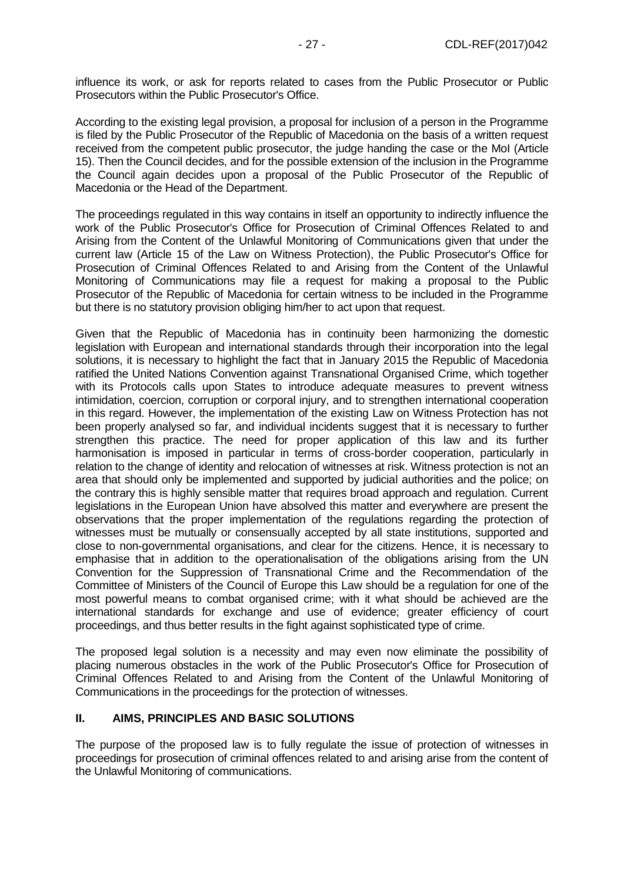influence its work, or ask for reports related to cases from the Public Prosecutor or Public Prosecutors within the Public Prosecutor's Office.

According to the existing legal provision, a proposal for inclusion of a person in the Programme is filed by the Public Prosecutor of the Republic of Macedonia on the basis of a written request received from the competent public prosecutor, the judge handing the case or the MoI (Article 15). Then the Council decides, and for the possible extension of the inclusion in the Programme the Council again decides upon a proposal of the Public Prosecutor of the Republic of Macedonia or the Head of the Department.

The proceedings regulated in this way contains in itself an opportunity to indirectly influence the work of the Public Prosecutor's Office for Prosecution of Criminal Offences Related to and Arising from the Content of the Unlawful Monitoring of Communications given that under the current law (Article 15 of the Law on Witness Protection), the Public Prosecutor's Office for Prosecution of Criminal Offences Related to and Arising from the Content of the Unlawful Monitoring of Communications may file a request for making a proposal to the Public Prosecutor of the Republic of Macedonia for certain witness to be included in the Programme but there is no statutory provision obliging him/her to act upon that request.

Given that the Republic of Macedonia has in continuity been harmonizing the domestic legislation with European and international standards through their incorporation into the legal solutions, it is necessary to highlight the fact that in January 2015 the Republic of Macedonia ratified the United Nations Convention against Transnational Organised Crime, which together with its Protocols calls upon States to introduce adequate measures to prevent witness intimidation, coercion, corruption or corporal injury, and to strengthen international cooperation in this regard. However, the implementation of the existing Law on Witness Protection has not been properly analysed so far, and individual incidents suggest that it is necessary to further strengthen this practice. The need for proper application of this law and its further harmonisation is imposed in particular in terms of cross-border cooperation, particularly in relation to the change of identity and relocation of witnesses at risk. Witness protection is not an area that should only be implemented and supported by judicial authorities and the police; on the contrary this is highly sensible matter that requires broad approach and regulation. Current legislations in the European Union have absolved this matter and everywhere are present the observations that the proper implementation of the regulations regarding the protection of witnesses must be mutually or consensually accepted by all state institutions, supported and close to non-governmental organisations, and clear for the citizens. Hence, it is necessary to emphasise that in addition to the operationalisation of the obligations arising from the UN Convention for the Suppression of Transnational Crime and the Recommendation of the Committee of Ministers of the Council of Europe this Law should be a regulation for one of the most powerful means to combat organised crime; with it what should be achieved are the international standards for exchange and use of evidence; greater efficiency of court proceedings, and thus better results in the fight against sophisticated type of crime.

The proposed legal solution is a necessity and may even now eliminate the possibility of placing numerous obstacles in the work of the Public Prosecutor's Office for Prosecution of Criminal Offences Related to and Arising from the Content of the Unlawful Monitoring of Communications in the proceedings for the protection of witnesses.

# **II. AIMS, PRINCIPLES AND BASIC SOLUTIONS**

The purpose of the proposed law is to fully regulate the issue of protection of witnesses in proceedings for prosecution of criminal offences related to and arising arise from the content of the Unlawful Monitoring of communications.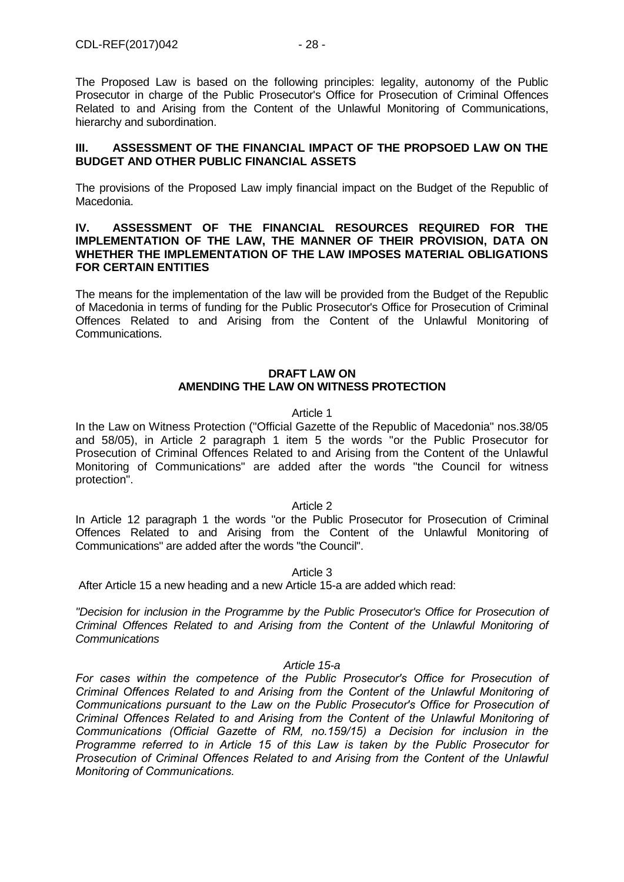The Proposed Law is based on the following principles: legality, autonomy of the Public Prosecutor in charge of the Public Prosecutor's Office for Prosecution of Criminal Offences Related to and Arising from the Content of the Unlawful Monitoring of Communications, hierarchy and subordination.

# **III. ASSESSMENT OF THE FINANCIAL IMPACT OF THE PROPSOED LAW ON THE BUDGET AND OTHER PUBLIC FINANCIAL ASSETS**

The provisions of the Proposed Law imply financial impact on the Budget of the Republic of Macedonia.

## **IV. ASSESSMENT OF THE FINANCIAL RESOURCES REQUIRED FOR THE IMPLEMENTATION OF THE LAW, THE MANNER OF THEIR PROVISION, DATA ON WHETHER THE IMPLEMENTATION OF THE LAW IMPOSES MATERIAL OBLIGATIONS FOR CERTAIN ENTITIES**

The means for the implementation of the law will be provided from the Budget of the Republic of Macedonia in terms of funding for the Public Prosecutor's Office for Prosecution of Criminal Offences Related to and Arising from the Content of the Unlawful Monitoring of Communications.

# **DRAFT LAW ON AMENDING THE LAW ON WITNESS PROTECTION**

## Article 1

In the Law on Witness Protection ("Official Gazette of the Republic of Macedonia" nos.38/05 and 58/05), in Article 2 paragraph 1 item 5 the words "or the Public Prosecutor for Prosecution of Criminal Offences Related to and Arising from the Content of the Unlawful Monitoring of Communications" are added after the words "the Council for witness protection".

## Article 2

In Article 12 paragraph 1 the words "or the Public Prosecutor for Prosecution of Criminal Offences Related to and Arising from the Content of the Unlawful Monitoring of Communications" are added after the words "the Council".

# Article 3

After Article 15 a new heading and a new Article 15-a are added which read:

*"Decision for inclusion in the Programme by the Public Prosecutor's Office for Prosecution of Criminal Offences Related to and Arising from the Content of the Unlawful Monitoring of Communications*

# *Article 15-a*

*For cases within the competence of the Public Prosecutor's Office for Prosecution of Criminal Offences Related to and Arising from the Content of the Unlawful Monitoring of Communications pursuant to the Law on the Public Prosecutor's Office for Prosecution of Criminal Offences Related to and Arising from the Content of the Unlawful Monitoring of Communications (Official Gazette of RM, no.159/15) a Decision for inclusion in the Programme referred to in Article 15 of this Law is taken by the Public Prosecutor for Prosecution of Criminal Offences Related to and Arising from the Content of the Unlawful Monitoring of Communications.*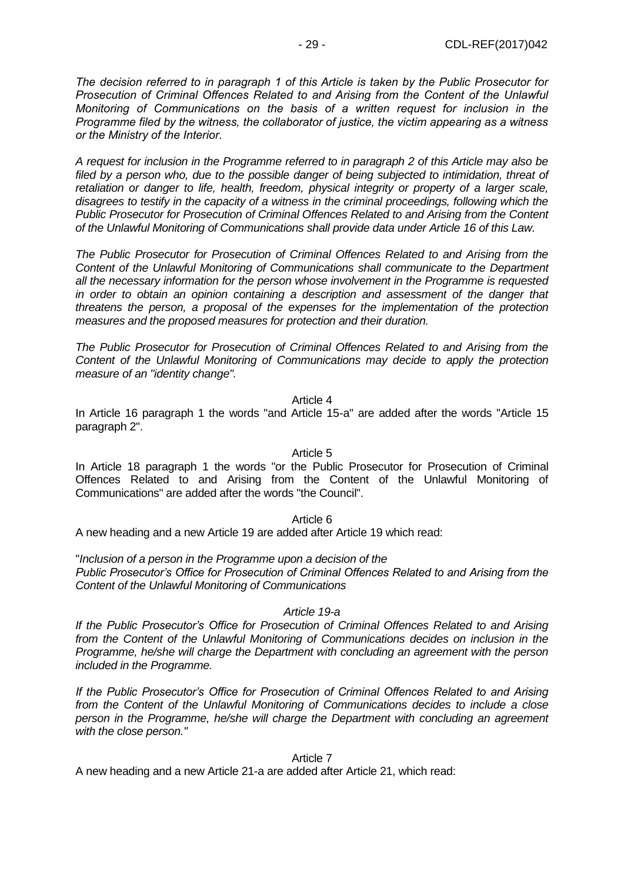*The decision referred to in paragraph 1 of this Article is taken by the Public Prosecutor for Prosecution of Criminal Offences Related to and Arising from the Content of the Unlawful Monitoring of Communications on the basis of a written request for inclusion in the Programme filed by the witness, the collaborator of justice, the victim appearing as a witness or the Ministry of the Interior.*

*A request for inclusion in the Programme referred to in paragraph 2 of this Article may also be filed by a person who, due to the possible danger of being subjected to intimidation, threat of*  retaliation or danger to life, health, freedom, physical integrity or property of a larger scale, *disagrees to testify in the capacity of a witness in the criminal proceedings, following which the Public Prosecutor for Prosecution of Criminal Offences Related to and Arising from the Content of the Unlawful Monitoring of Communications shall provide data under Article 16 of this Law.*

*The Public Prosecutor for Prosecution of Criminal Offences Related to and Arising from the Content of the Unlawful Monitoring of Communications shall communicate to the Department all the necessary information for the person whose involvement in the Programme is requested in order to obtain an opinion containing a description and assessment of the danger that threatens the person, a proposal of the expenses for the implementation of the protection measures and the proposed measures for protection and their duration.*

*The Public Prosecutor for Prosecution of Criminal Offences Related to and Arising from the Content of the Unlawful Monitoring of Communications may decide to apply the protection measure of an "identity change".*

Article 4

In Article 16 paragraph 1 the words "and Article 15-a" are added after the words "Article 15 paragraph 2".

Article 5

In Article 18 paragraph 1 the words "or the Public Prosecutor for Prosecution of Criminal Offences Related to and Arising from the Content of the Unlawful Monitoring of Communications" are added after the words "the Council".

Article 6

A new heading and a new Article 19 are added after Article 19 which read:

"*Inclusion of a person in the Programme upon a decision of the Public Prosecutor's Office for Prosecution of Criminal Offences Related to and Arising from the Content of the Unlawful Monitoring of Communications*

*Article 19-a*

*If the Public Prosecutor's Office for Prosecution of Criminal Offences Related to and Arising from the Content of the Unlawful Monitoring of Communications decides on inclusion in the Programme, he/she will charge the Department with concluding an agreement with the person included in the Programme.*

*If the Public Prosecutor's Office for Prosecution of Criminal Offences Related to and Arising from the Content of the Unlawful Monitoring of Communications decides to include a close person in the Programme, he/she will charge the Department with concluding an agreement with the close person."*

Article 7

A new heading and a new Article 21-a are added after Article 21, which read: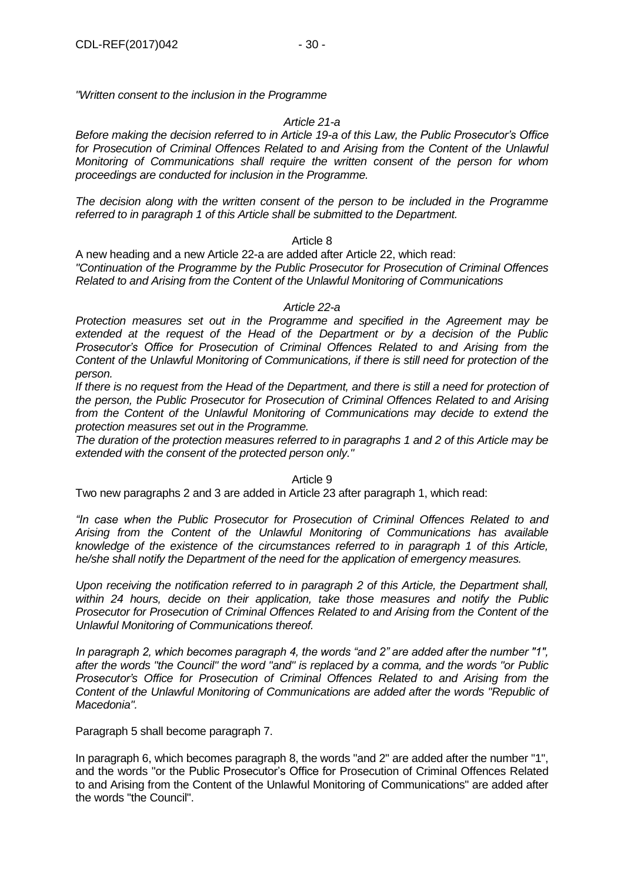*"Written consent to the inclusion in the Programme*

## *Article 21-a*

*Before making the decision referred to in Article 19-a of this Law, the Public Prosecutor's Office*  for Prosecution of Criminal Offences Related to and Arising from the Content of the Unlawful *Monitoring of Communications shall require the written consent of the person for whom proceedings are conducted for inclusion in the Programme.*

*The decision along with the written consent of the person to be included in the Programme referred to in paragraph 1 of this Article shall be submitted to the Department.*

## Article 8

A new heading and a new Article 22-a are added after Article 22, which read: *"Continuation of the Programme by the Public Prosecutor for Prosecution of Criminal Offences Related to and Arising from the Content of the Unlawful Monitoring of Communications*

## *Article 22-a*

*Protection measures set out in the Programme and specified in the Agreement may be extended at the request of the Head of the Department or by a decision of the Public Prosecutor's Office for Prosecution of Criminal Offences Related to and Arising from the Content of the Unlawful Monitoring of Communications, if there is still need for protection of the person.*

*If there is no request from the Head of the Department, and there is still a need for protection of the person, the Public Prosecutor for Prosecution of Criminal Offences Related to and Arising from the Content of the Unlawful Monitoring of Communications may decide to extend the protection measures set out in the Programme.*

*The duration of the protection measures referred to in paragraphs 1 and 2 of this Article may be extended with the consent of the protected person only."*

Article 9

Two new paragraphs 2 and 3 are added in Article 23 after paragraph 1, which read:

*"In case when the Public Prosecutor for Prosecution of Criminal Offences Related to and Arising from the Content of the Unlawful Monitoring of Communications has available knowledge of the existence of the circumstances referred to in paragraph 1 of this Article, he/she shall notify the Department of the need for the application of emergency measures.*

*Upon receiving the notification referred to in paragraph 2 of this Article, the Department shall, within 24 hours, decide on their application, take those measures and notify the Public Prosecutor for Prosecution of Criminal Offences Related to and Arising from the Content of the Unlawful Monitoring of Communications thereof.*

*In paragraph 2, which becomes paragraph 4, the words "and 2" are added after the number "1", after the words "the Council" the word "and" is replaced by a comma, and the words "or Public Prosecutor's Office for Prosecution of Criminal Offences Related to and Arising from the Content of the Unlawful Monitoring of Communications are added after the words "Republic of Macedonia".*

Paragraph 5 shall become paragraph 7.

In paragraph 6, which becomes paragraph 8, the words "and 2" are added after the number "1", and the words "or the Public Prosecutor's Office for Prosecution of Criminal Offences Related to and Arising from the Content of the Unlawful Monitoring of Communications" are added after the words "the Council".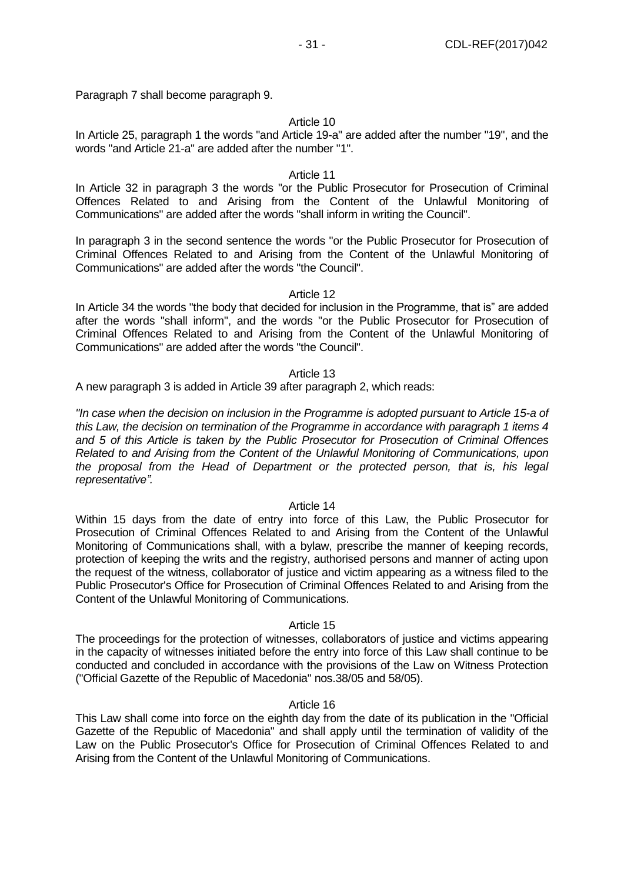Paragraph 7 shall become paragraph 9.

## Article 10

In Article 25, paragraph 1 the words "and Article 19-a" are added after the number "19", and the words "and Article 21-a" are added after the number "1".

# Article 11

In Article 32 in paragraph 3 the words "or the Public Prosecutor for Prosecution of Criminal Offences Related to and Arising from the Content of the Unlawful Monitoring of Communications" are added after the words "shall inform in writing the Council".

In paragraph 3 in the second sentence the words "or the Public Prosecutor for Prosecution of Criminal Offences Related to and Arising from the Content of the Unlawful Monitoring of Communications" are added after the words "the Council".

#### Article 12

In Article 34 the words "the body that decided for inclusion in the Programme, that is" are added after the words "shall inform", and the words "or the Public Prosecutor for Prosecution of Criminal Offences Related to and Arising from the Content of the Unlawful Monitoring of Communications" are added after the words "the Council".

## Article 13

A new paragraph 3 is added in Article 39 after paragraph 2, which reads:

*"In case when the decision on inclusion in the Programme is adopted pursuant to Article 15-a of this Law, the decision on termination of the Programme in accordance with paragraph 1 items 4 and 5 of this Article is taken by the Public Prosecutor for Prosecution of Criminal Offences Related to and Arising from the Content of the Unlawful Monitoring of Communications, upon the proposal from the Head of Department or the protected person, that is, his legal representative".*

## Article 14

Within 15 days from the date of entry into force of this Law, the Public Prosecutor for Prosecution of Criminal Offences Related to and Arising from the Content of the Unlawful Monitoring of Communications shall, with a bylaw, prescribe the manner of keeping records, protection of keeping the writs and the registry, authorised persons and manner of acting upon the request of the witness, collaborator of justice and victim appearing as a witness filed to the Public Prosecutor's Office for Prosecution of Criminal Offences Related to and Arising from the Content of the Unlawful Monitoring of Communications.

## Article 15

The proceedings for the protection of witnesses, collaborators of justice and victims appearing in the capacity of witnesses initiated before the entry into force of this Law shall continue to be conducted and concluded in accordance with the provisions of the Law on Witness Protection ("Official Gazette of the Republic of Macedonia" nos.38/05 and 58/05).

## Article 16

This Law shall come into force on the eighth day from the date of its publication in the "Official Gazette of the Republic of Macedonia" and shall apply until the termination of validity of the Law on the Public Prosecutor's Office for Prosecution of Criminal Offences Related to and Arising from the Content of the Unlawful Monitoring of Communications.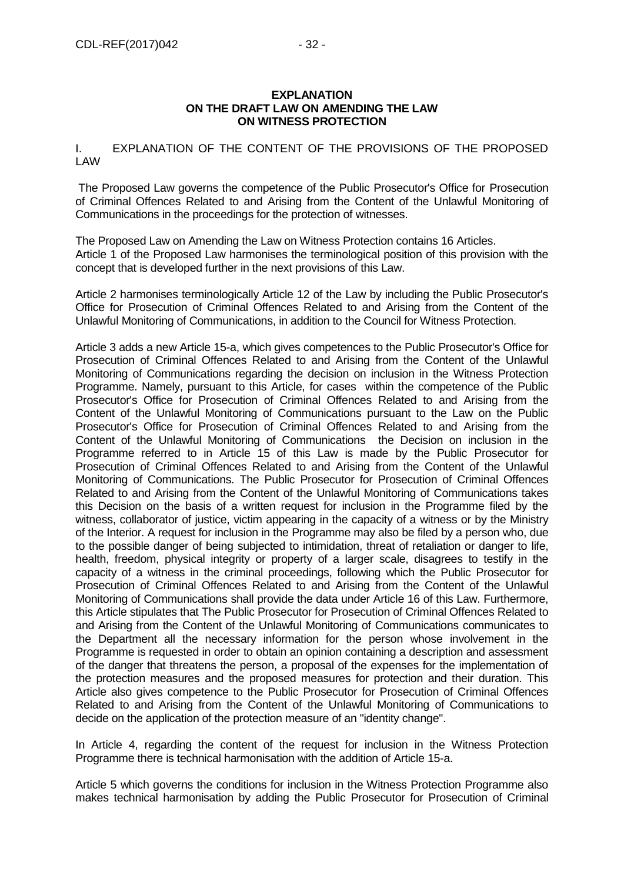# I. EXPLANATION OF THE CONTENT OF THE PROVISIONS OF THE PROPOSED LAW

The Proposed Law governs the competence of the Public Prosecutor's Office for Prosecution of Criminal Offences Related to and Arising from the Content of the Unlawful Monitoring of Communications in the proceedings for the protection of witnesses.

The Proposed Law on Amending the Law on Witness Protection contains 16 Articles. Article 1 of the Proposed Law harmonises the terminological position of this provision with the concept that is developed further in the next provisions of this Law.

Article 2 harmonises terminologically Article 12 of the Law by including the Public Prosecutor's Office for Prosecution of Criminal Offences Related to and Arising from the Content of the Unlawful Monitoring of Communications, in addition to the Council for Witness Protection.

Article 3 adds a new Article 15-a, which gives competences to the Public Prosecutor's Office for Prosecution of Criminal Offences Related to and Arising from the Content of the Unlawful Monitoring of Communications regarding the decision on inclusion in the Witness Protection Programme. Namely, pursuant to this Article, for cases within the competence of the Public Prosecutor's Office for Prosecution of Criminal Offences Related to and Arising from the Content of the Unlawful Monitoring of Communications pursuant to the Law on the Public Prosecutor's Office for Prosecution of Criminal Offences Related to and Arising from the Content of the Unlawful Monitoring of Communications the Decision on inclusion in the Programme referred to in Article 15 of this Law is made by the Public Prosecutor for Prosecution of Criminal Offences Related to and Arising from the Content of the Unlawful Monitoring of Communications. The Public Prosecutor for Prosecution of Criminal Offences Related to and Arising from the Content of the Unlawful Monitoring of Communications takes this Decision on the basis of a written request for inclusion in the Programme filed by the witness, collaborator of justice, victim appearing in the capacity of a witness or by the Ministry of the Interior. A request for inclusion in the Programme may also be filed by a person who, due to the possible danger of being subjected to intimidation, threat of retaliation or danger to life, health, freedom, physical integrity or property of a larger scale, disagrees to testify in the capacity of a witness in the criminal proceedings, following which the Public Prosecutor for Prosecution of Criminal Offences Related to and Arising from the Content of the Unlawful Monitoring of Communications shall provide the data under Article 16 of this Law. Furthermore, this Article stipulates that The Public Prosecutor for Prosecution of Criminal Offences Related to and Arising from the Content of the Unlawful Monitoring of Communications communicates to the Department all the necessary information for the person whose involvement in the Programme is requested in order to obtain an opinion containing a description and assessment of the danger that threatens the person, a proposal of the expenses for the implementation of the protection measures and the proposed measures for protection and their duration. This Article also gives competence to the Public Prosecutor for Prosecution of Criminal Offences Related to and Arising from the Content of the Unlawful Monitoring of Communications to decide on the application of the protection measure of an "identity change".

In Article 4, regarding the content of the request for inclusion in the Witness Protection Programme there is technical harmonisation with the addition of Article 15-a.

Article 5 which governs the conditions for inclusion in the Witness Protection Programme also makes technical harmonisation by adding the Public Prosecutor for Prosecution of Criminal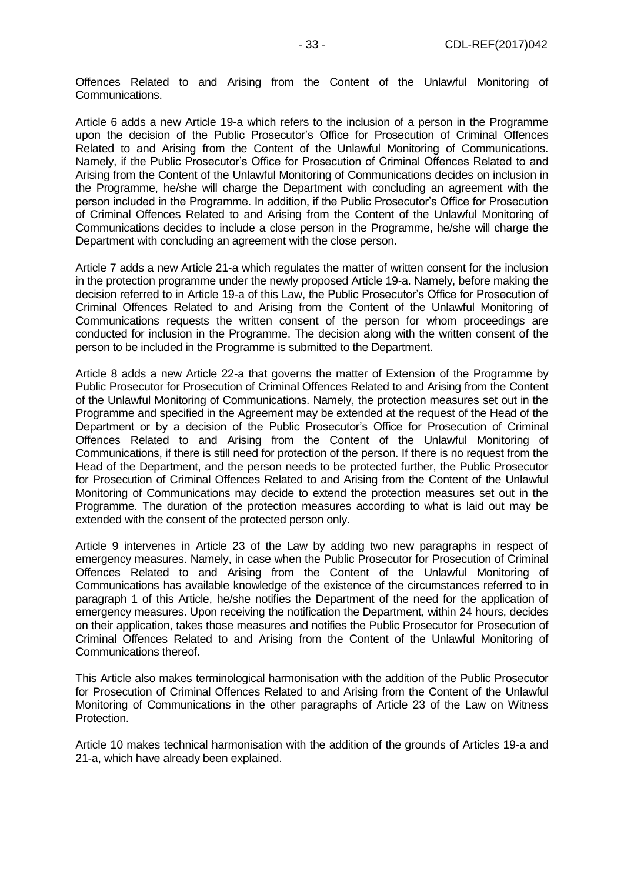Offences Related to and Arising from the Content of the Unlawful Monitoring of Communications.

Article 6 adds a new Article 19-a which refers to the inclusion of a person in the Programme upon the decision of the Public Prosecutor's Office for Prosecution of Criminal Offences Related to and Arising from the Content of the Unlawful Monitoring of Communications. Namely, if the Public Prosecutor's Office for Prosecution of Criminal Offences Related to and Arising from the Content of the Unlawful Monitoring of Communications decides on inclusion in the Programme, he/she will charge the Department with concluding an agreement with the person included in the Programme. In addition, if the Public Prosecutor's Office for Prosecution of Criminal Offences Related to and Arising from the Content of the Unlawful Monitoring of Communications decides to include a close person in the Programme, he/she will charge the Department with concluding an agreement with the close person.

Article 7 adds a new Article 21-a which regulates the matter of written consent for the inclusion in the protection programme under the newly proposed Article 19-a. Namely, before making the decision referred to in Article 19-a of this Law, the Public Prosecutor's Office for Prosecution of Criminal Offences Related to and Arising from the Content of the Unlawful Monitoring of Communications requests the written consent of the person for whom proceedings are conducted for inclusion in the Programme. The decision along with the written consent of the person to be included in the Programme is submitted to the Department.

Article 8 adds a new Article 22-a that governs the matter of Extension of the Programme by Public Prosecutor for Prosecution of Criminal Offences Related to and Arising from the Content of the Unlawful Monitoring of Communications. Namely, the protection measures set out in the Programme and specified in the Agreement may be extended at the request of the Head of the Department or by a decision of the Public Prosecutor's Office for Prosecution of Criminal Offences Related to and Arising from the Content of the Unlawful Monitoring of Communications, if there is still need for protection of the person. If there is no request from the Head of the Department, and the person needs to be protected further, the Public Prosecutor for Prosecution of Criminal Offences Related to and Arising from the Content of the Unlawful Monitoring of Communications may decide to extend the protection measures set out in the Programme. The duration of the protection measures according to what is laid out may be extended with the consent of the protected person only.

Article 9 intervenes in Article 23 of the Law by adding two new paragraphs in respect of emergency measures. Namely, in case when the Public Prosecutor for Prosecution of Criminal Offences Related to and Arising from the Content of the Unlawful Monitoring of Communications has available knowledge of the existence of the circumstances referred to in paragraph 1 of this Article, he/she notifies the Department of the need for the application of emergency measures. Upon receiving the notification the Department, within 24 hours, decides on their application, takes those measures and notifies the Public Prosecutor for Prosecution of Criminal Offences Related to and Arising from the Content of the Unlawful Monitoring of Communications thereof.

This Article also makes terminological harmonisation with the addition of the Public Prosecutor for Prosecution of Criminal Offences Related to and Arising from the Content of the Unlawful Monitoring of Communications in the other paragraphs of Article 23 of the Law on Witness Protection.

Article 10 makes technical harmonisation with the addition of the grounds of Articles 19-a and 21-a, which have already been explained.